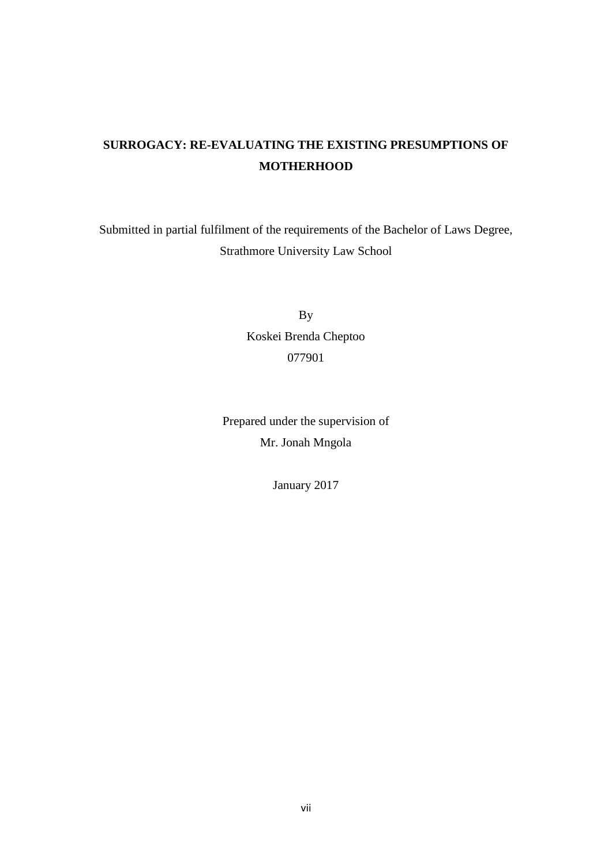# **SURROGACY: RE-EVALUATING THE EXISTING PRESUMPTIONS OF MOTHERHOOD**

Submitted in partial fulfilment of the requirements of the Bachelor of Laws Degree, Strathmore University Law School

> By Koskei Brenda Cheptoo 077901

Prepared under the supervision of Mr. Jonah Mngola

January 2017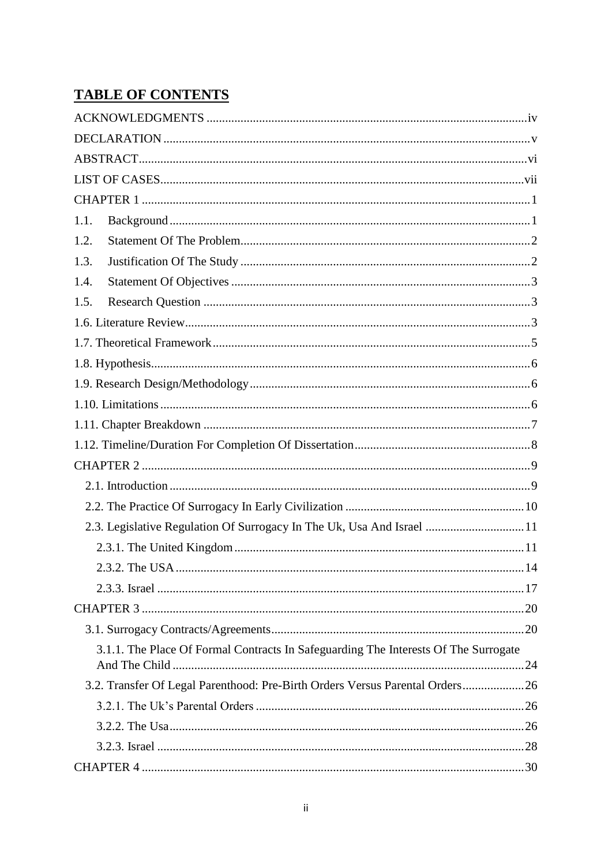# **TABLE OF CONTENTS**

| 1.1. |                                                                                     |    |
|------|-------------------------------------------------------------------------------------|----|
| 1.2. |                                                                                     |    |
| 1.3. |                                                                                     |    |
| 1.4. |                                                                                     |    |
| 1.5. |                                                                                     |    |
|      |                                                                                     |    |
|      |                                                                                     |    |
|      |                                                                                     |    |
|      |                                                                                     |    |
|      |                                                                                     |    |
|      |                                                                                     |    |
|      |                                                                                     |    |
|      |                                                                                     |    |
|      |                                                                                     |    |
|      |                                                                                     |    |
|      | 2.3. Legislative Regulation Of Surrogacy In The Uk, Usa And Israel 11               |    |
|      |                                                                                     |    |
|      | $2.3.2$ . The USA                                                                   | 14 |
|      |                                                                                     |    |
|      |                                                                                     |    |
|      |                                                                                     |    |
|      | 3.1.1. The Place Of Formal Contracts In Safeguarding The Interests Of The Surrogate |    |
|      | 3.2. Transfer Of Legal Parenthood: Pre-Birth Orders Versus Parental Orders 26       |    |
|      |                                                                                     |    |
|      |                                                                                     |    |
|      |                                                                                     |    |
|      |                                                                                     |    |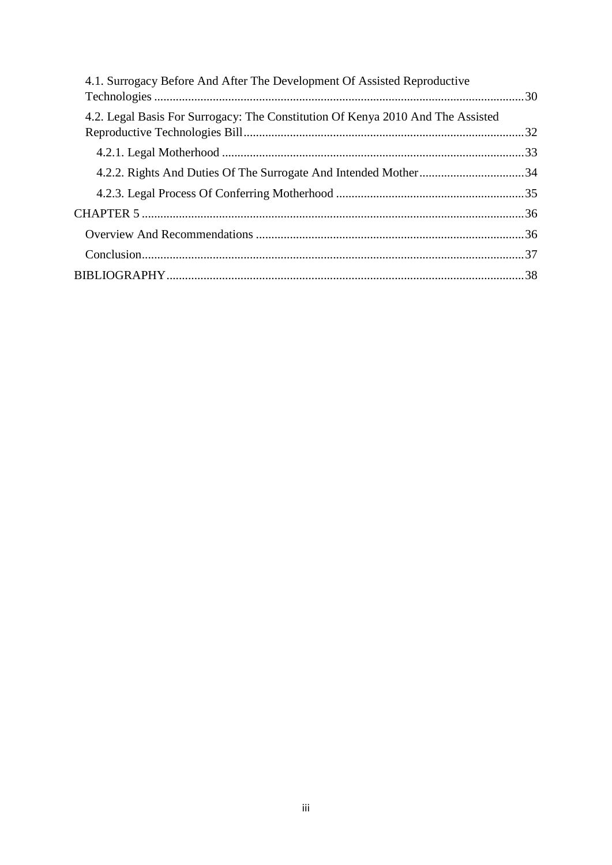| 4.1. Surrogacy Before And After The Development Of Assisted Reproductive        |  |
|---------------------------------------------------------------------------------|--|
| 4.2. Legal Basis For Surrogacy: The Constitution Of Kenya 2010 And The Assisted |  |
|                                                                                 |  |
|                                                                                 |  |
|                                                                                 |  |
|                                                                                 |  |
|                                                                                 |  |
|                                                                                 |  |
|                                                                                 |  |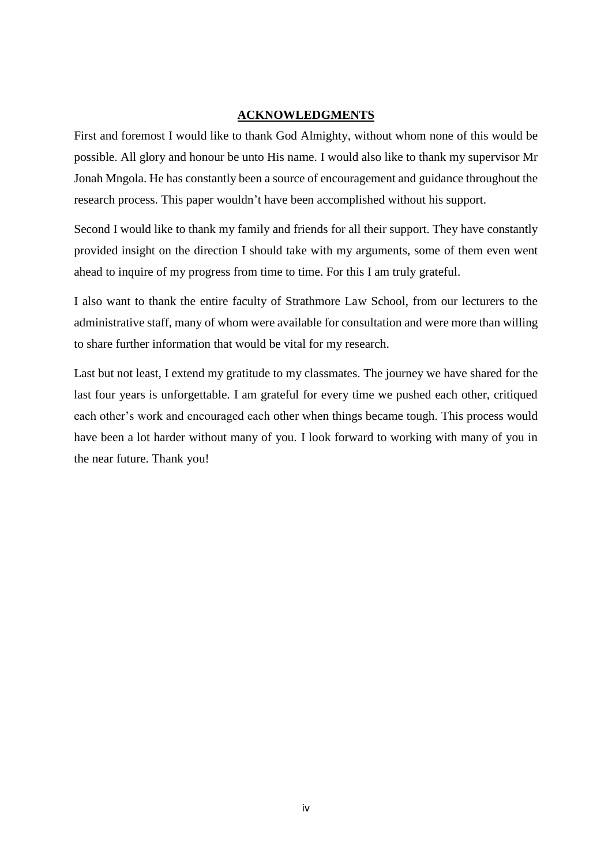#### **ACKNOWLEDGMENTS**

<span id="page-3-0"></span>First and foremost I would like to thank God Almighty, without whom none of this would be possible. All glory and honour be unto His name. I would also like to thank my supervisor Mr Jonah Mngola. He has constantly been a source of encouragement and guidance throughout the research process. This paper wouldn't have been accomplished without his support.

Second I would like to thank my family and friends for all their support. They have constantly provided insight on the direction I should take with my arguments, some of them even went ahead to inquire of my progress from time to time. For this I am truly grateful.

I also want to thank the entire faculty of Strathmore Law School, from our lecturers to the administrative staff, many of whom were available for consultation and were more than willing to share further information that would be vital for my research.

Last but not least, I extend my gratitude to my classmates. The journey we have shared for the last four years is unforgettable. I am grateful for every time we pushed each other, critiqued each other's work and encouraged each other when things became tough. This process would have been a lot harder without many of you. I look forward to working with many of you in the near future. Thank you!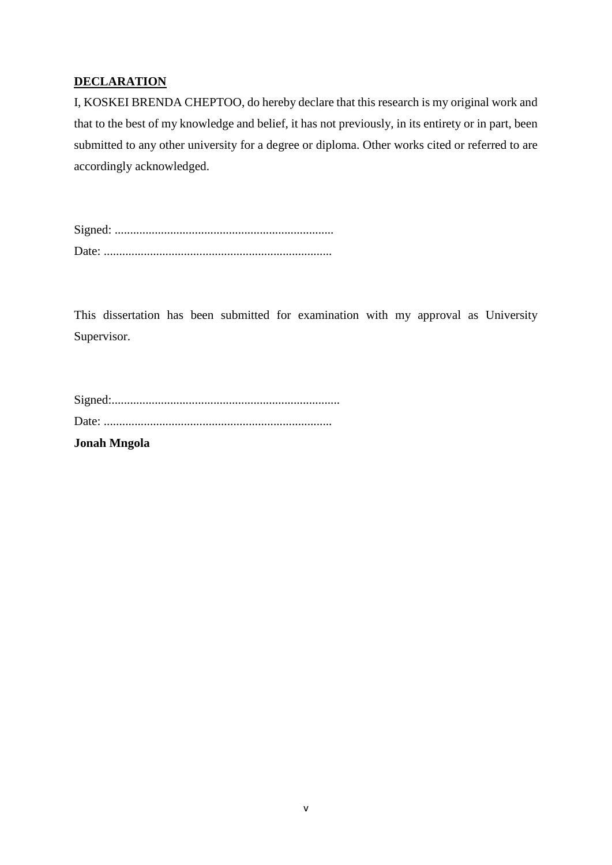## <span id="page-4-0"></span>**DECLARATION**

I, KOSKEI BRENDA CHEPTOO, do hereby declare that this research is my original work and that to the best of my knowledge and belief, it has not previously, in its entirety or in part, been submitted to any other university for a degree or diploma. Other works cited or referred to are accordingly acknowledged.

Signed: ....................................................................... Date: ..........................................................................

This dissertation has been submitted for examination with my approval as University Supervisor.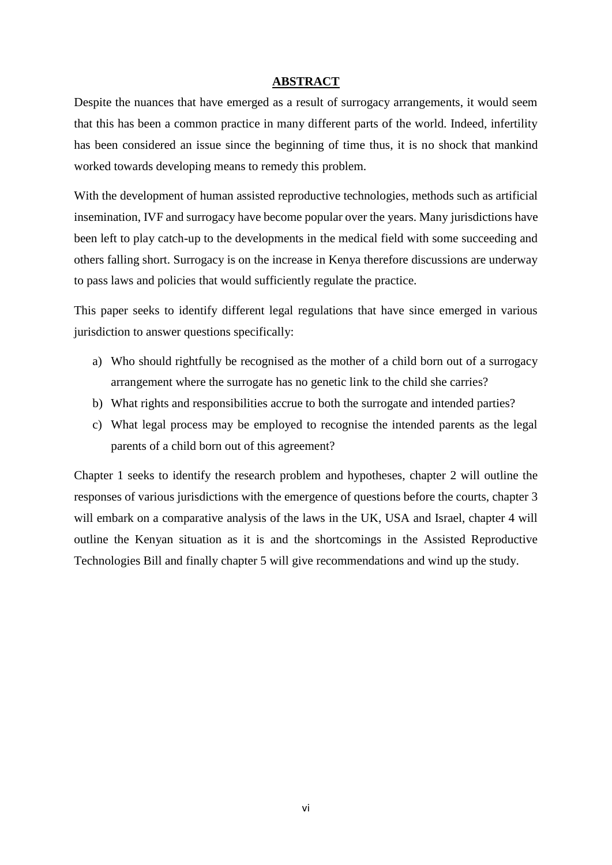#### **ABSTRACT**

<span id="page-5-0"></span>Despite the nuances that have emerged as a result of surrogacy arrangements, it would seem that this has been a common practice in many different parts of the world. Indeed, infertility has been considered an issue since the beginning of time thus, it is no shock that mankind worked towards developing means to remedy this problem.

With the development of human assisted reproductive technologies, methods such as artificial insemination, IVF and surrogacy have become popular over the years. Many jurisdictions have been left to play catch-up to the developments in the medical field with some succeeding and others falling short. Surrogacy is on the increase in Kenya therefore discussions are underway to pass laws and policies that would sufficiently regulate the practice.

This paper seeks to identify different legal regulations that have since emerged in various jurisdiction to answer questions specifically:

- a) Who should rightfully be recognised as the mother of a child born out of a surrogacy arrangement where the surrogate has no genetic link to the child she carries?
- b) What rights and responsibilities accrue to both the surrogate and intended parties?
- c) What legal process may be employed to recognise the intended parents as the legal parents of a child born out of this agreement?

Chapter 1 seeks to identify the research problem and hypotheses, chapter 2 will outline the responses of various jurisdictions with the emergence of questions before the courts, chapter 3 will embark on a comparative analysis of the laws in the UK, USA and Israel, chapter 4 will outline the Kenyan situation as it is and the shortcomings in the Assisted Reproductive Technologies Bill and finally chapter 5 will give recommendations and wind up the study.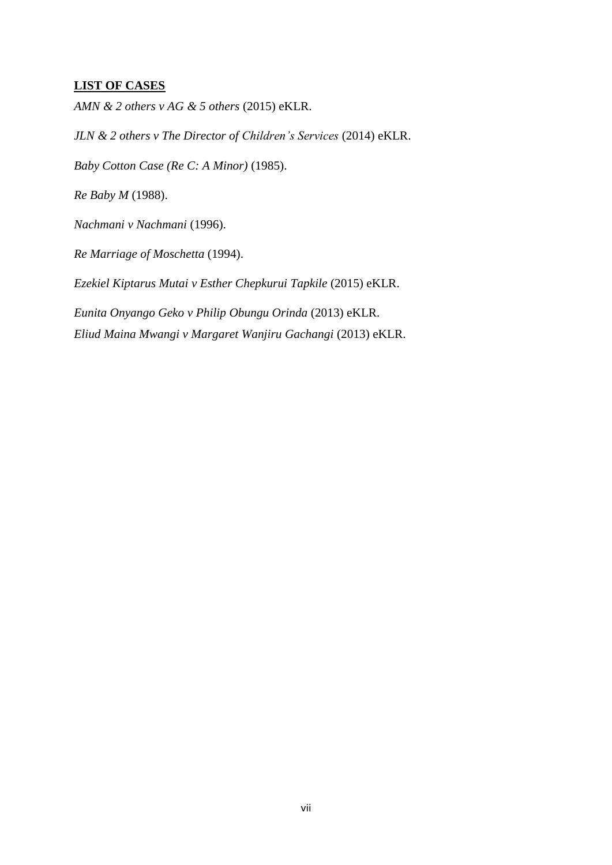## <span id="page-6-0"></span>**LIST OF CASES**

*AMN & 2 others v AG & 5 others* (2015) eKLR.

*JLN & 2 others v The Director of Children's Services* (2014) eKLR.

*Baby Cotton Case (Re C: A Minor)* (1985).

*Re Baby M* (1988).

*Nachmani v Nachmani* (1996).

*Re Marriage of Moschetta* (1994).

*Ezekiel Kiptarus Mutai v Esther Chepkurui Tapkile* (2015) eKLR.

*Eunita Onyango Geko v Philip Obungu Orinda* (2013) eKLR. *Eliud Maina Mwangi v Margaret Wanjiru Gachangi* (2013) eKLR.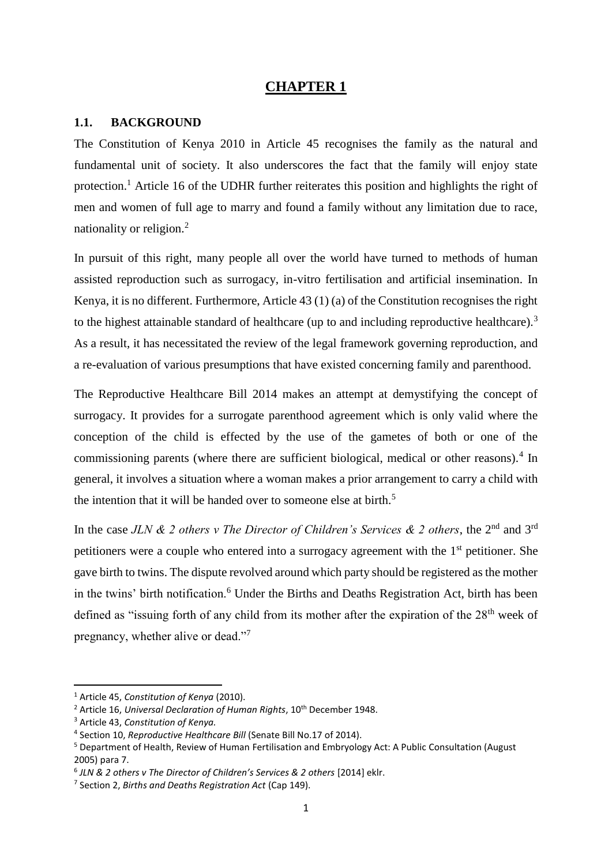### **CHAPTER 1**

#### <span id="page-7-1"></span><span id="page-7-0"></span>**1.1. BACKGROUND**

The Constitution of Kenya 2010 in Article 45 recognises the family as the natural and fundamental unit of society. It also underscores the fact that the family will enjoy state protection.<sup>1</sup> Article 16 of the UDHR further reiterates this position and highlights the right of men and women of full age to marry and found a family without any limitation due to race, nationality or religion.<sup>2</sup>

In pursuit of this right, many people all over the world have turned to methods of human assisted reproduction such as surrogacy, in-vitro fertilisation and artificial insemination. In Kenya, it is no different. Furthermore, Article 43 (1) (a) of the Constitution recognises the right to the highest attainable standard of healthcare (up to and including reproductive healthcare).<sup>3</sup> As a result, it has necessitated the review of the legal framework governing reproduction, and a re-evaluation of various presumptions that have existed concerning family and parenthood.

The Reproductive Healthcare Bill 2014 makes an attempt at demystifying the concept of surrogacy. It provides for a surrogate parenthood agreement which is only valid where the conception of the child is effected by the use of the gametes of both or one of the commissioning parents (where there are sufficient biological, medical or other reasons).<sup>4</sup> In general, it involves a situation where a woman makes a prior arrangement to carry a child with the intention that it will be handed over to someone else at birth.<sup>5</sup>

In the case *JLN & 2 others v The Director of Children's Services & 2 others*, the 2<sup>nd</sup> and 3<sup>rd</sup> petitioners were a couple who entered into a surrogacy agreement with the 1<sup>st</sup> petitioner. She gave birth to twins. The dispute revolved around which party should be registered as the mother in the twins' birth notification.<sup>6</sup> Under the Births and Deaths Registration Act, birth has been defined as "issuing forth of any child from its mother after the expiration of the  $28<sup>th</sup>$  week of pregnancy, whether alive or dead."<sup>7</sup>

**.** 

<sup>1</sup> Article 45, *Constitution of Kenya* (2010).

<sup>&</sup>lt;sup>2</sup> Article 16, *Universal Declaration of Human Rights*, 10<sup>th</sup> December 1948.

<sup>3</sup> Article 43, *Constitution of Kenya.*

<sup>4</sup> Section 10, *Reproductive Healthcare Bill* (Senate Bill No.17 of 2014).

<sup>5</sup> Department of Health, Review of Human Fertilisation and Embryology Act: A Public Consultation (August 2005) para 7.

<sup>6</sup> *JLN & 2 others v The Director of Children's Services & 2 others* [2014] eklr.

<sup>7</sup> Section 2, *Births and Deaths Registration Act* (Cap 149).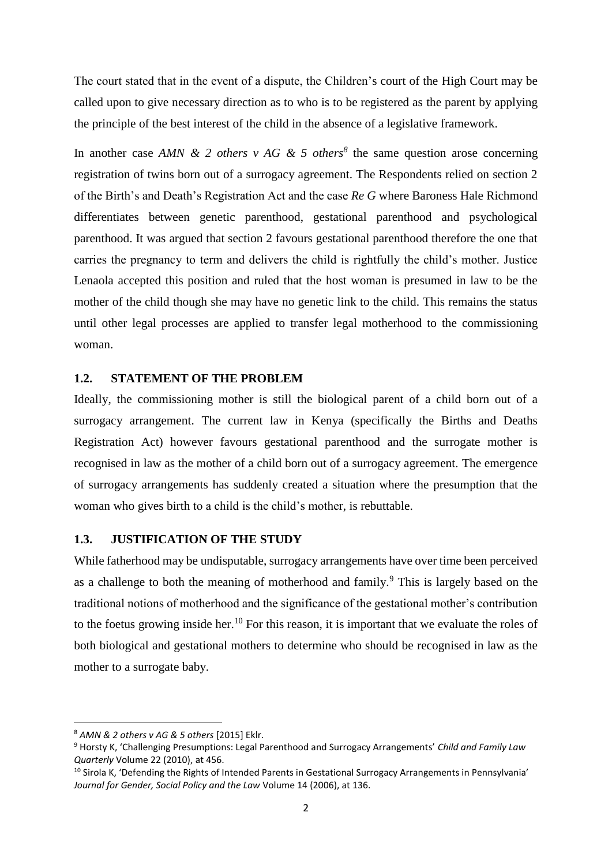The court stated that in the event of a dispute, the Children's court of the High Court may be called upon to give necessary direction as to who is to be registered as the parent by applying the principle of the best interest of the child in the absence of a legislative framework.

In another case *AMN & 2 others v AG & 5 others*<sup>8</sup> the same question arose concerning registration of twins born out of a surrogacy agreement. The Respondents relied on section 2 of the Birth's and Death's Registration Act and the case *Re G* where Baroness Hale Richmond differentiates between genetic parenthood, gestational parenthood and psychological parenthood. It was argued that section 2 favours gestational parenthood therefore the one that carries the pregnancy to term and delivers the child is rightfully the child's mother. Justice Lenaola accepted this position and ruled that the host woman is presumed in law to be the mother of the child though she may have no genetic link to the child. This remains the status until other legal processes are applied to transfer legal motherhood to the commissioning woman.

#### <span id="page-8-0"></span>**1.2. STATEMENT OF THE PROBLEM**

Ideally, the commissioning mother is still the biological parent of a child born out of a surrogacy arrangement. The current law in Kenya (specifically the Births and Deaths Registration Act) however favours gestational parenthood and the surrogate mother is recognised in law as the mother of a child born out of a surrogacy agreement. The emergence of surrogacy arrangements has suddenly created a situation where the presumption that the woman who gives birth to a child is the child's mother, is rebuttable.

#### <span id="page-8-1"></span>**1.3. JUSTIFICATION OF THE STUDY**

While fatherhood may be undisputable, surrogacy arrangements have over time been perceived as a challenge to both the meaning of motherhood and family.<sup>9</sup> This is largely based on the traditional notions of motherhood and the significance of the gestational mother's contribution to the foetus growing inside her.<sup>10</sup> For this reason, it is important that we evaluate the roles of both biological and gestational mothers to determine who should be recognised in law as the mother to a surrogate baby.

 $\overline{a}$ 

<sup>8</sup> *AMN & 2 others v AG & 5 others* [2015] Eklr.

<sup>9</sup> Horsty K, 'Challenging Presumptions: Legal Parenthood and Surrogacy Arrangements' *Child and Family Law Quarterly* Volume 22 (2010), at 456.

<sup>&</sup>lt;sup>10</sup> Sirola K, 'Defending the Rights of Intended Parents in Gestational Surrogacy Arrangements in Pennsylvania' *Journal for Gender, Social Policy and the Law* Volume 14 (2006), at 136.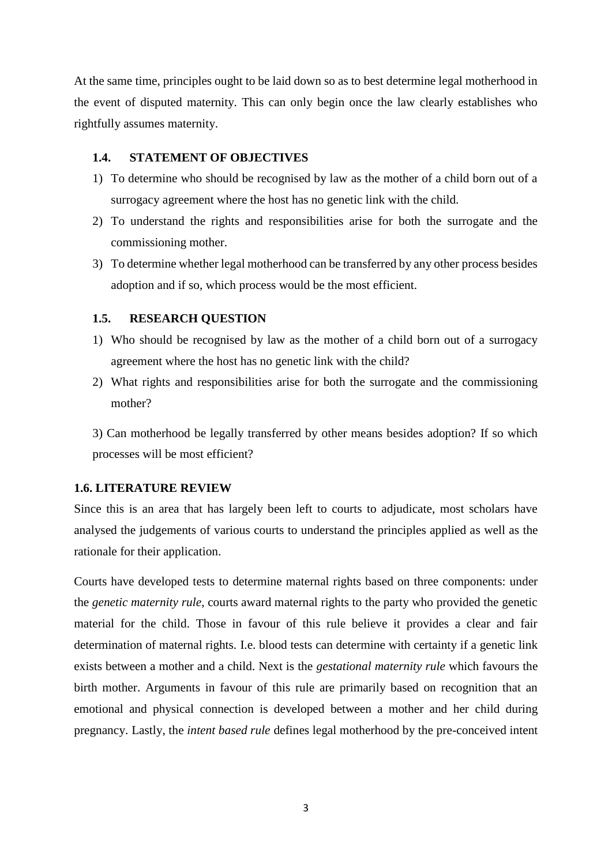At the same time, principles ought to be laid down so as to best determine legal motherhood in the event of disputed maternity. This can only begin once the law clearly establishes who rightfully assumes maternity.

#### <span id="page-9-0"></span>**1.4. STATEMENT OF OBJECTIVES**

- 1) To determine who should be recognised by law as the mother of a child born out of a surrogacy agreement where the host has no genetic link with the child.
- 2) To understand the rights and responsibilities arise for both the surrogate and the commissioning mother.
- 3) To determine whether legal motherhood can be transferred by any other process besides adoption and if so, which process would be the most efficient.

#### <span id="page-9-1"></span>**1.5. RESEARCH QUESTION**

- 1) Who should be recognised by law as the mother of a child born out of a surrogacy agreement where the host has no genetic link with the child?
- 2) What rights and responsibilities arise for both the surrogate and the commissioning mother?

3) Can motherhood be legally transferred by other means besides adoption? If so which processes will be most efficient?

#### <span id="page-9-2"></span>**1.6. LITERATURE REVIEW**

Since this is an area that has largely been left to courts to adjudicate, most scholars have analysed the judgements of various courts to understand the principles applied as well as the rationale for their application.

Courts have developed tests to determine maternal rights based on three components: under the *genetic maternity rule*, courts award maternal rights to the party who provided the genetic material for the child. Those in favour of this rule believe it provides a clear and fair determination of maternal rights. I.e. blood tests can determine with certainty if a genetic link exists between a mother and a child. Next is the *gestational maternity rule* which favours the birth mother. Arguments in favour of this rule are primarily based on recognition that an emotional and physical connection is developed between a mother and her child during pregnancy. Lastly, the *intent based rule* defines legal motherhood by the pre-conceived intent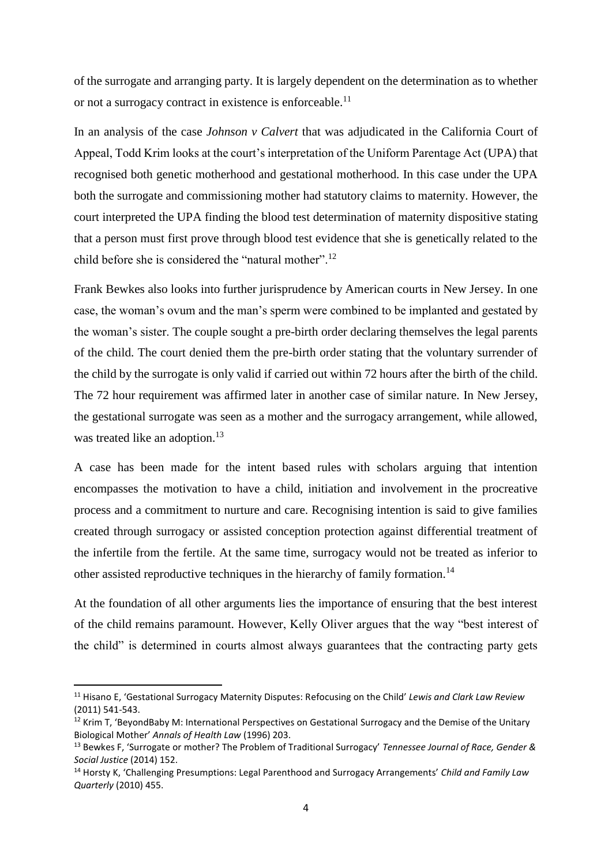of the surrogate and arranging party. It is largely dependent on the determination as to whether or not a surrogacy contract in existence is enforceable.<sup>11</sup>

In an analysis of the case *Johnson v Calvert* that was adjudicated in the California Court of Appeal, Todd Krim looks at the court's interpretation of the Uniform Parentage Act (UPA) that recognised both genetic motherhood and gestational motherhood. In this case under the UPA both the surrogate and commissioning mother had statutory claims to maternity. However, the court interpreted the UPA finding the blood test determination of maternity dispositive stating that a person must first prove through blood test evidence that she is genetically related to the child before she is considered the "natural mother".<sup>12</sup>

Frank Bewkes also looks into further jurisprudence by American courts in New Jersey. In one case, the woman's ovum and the man's sperm were combined to be implanted and gestated by the woman's sister. The couple sought a pre-birth order declaring themselves the legal parents of the child. The court denied them the pre-birth order stating that the voluntary surrender of the child by the surrogate is only valid if carried out within 72 hours after the birth of the child. The 72 hour requirement was affirmed later in another case of similar nature. In New Jersey, the gestational surrogate was seen as a mother and the surrogacy arrangement, while allowed, was treated like an adoption.<sup>13</sup>

A case has been made for the intent based rules with scholars arguing that intention encompasses the motivation to have a child, initiation and involvement in the procreative process and a commitment to nurture and care. Recognising intention is said to give families created through surrogacy or assisted conception protection against differential treatment of the infertile from the fertile. At the same time, surrogacy would not be treated as inferior to other assisted reproductive techniques in the hierarchy of family formation.<sup>14</sup>

At the foundation of all other arguments lies the importance of ensuring that the best interest of the child remains paramount. However, Kelly Oliver argues that the way "best interest of the child" is determined in courts almost always guarantees that the contracting party gets

**.** 

<sup>11</sup> Hisano E, 'Gestational Surrogacy Maternity Disputes: Refocusing on the Child' *Lewis and Clark Law Review* (2011) 541-543.

<sup>&</sup>lt;sup>12</sup> Krim T, 'BeyondBaby M: International Perspectives on Gestational Surrogacy and the Demise of the Unitary Biological Mother' *Annals of Health Law* (1996) 203.

<sup>13</sup> Bewkes F, 'Surrogate or mother? The Problem of Traditional Surrogacy' *Tennessee Journal of Race, Gender & Social Justice* (2014) 152.

<sup>14</sup> Horsty K, 'Challenging Presumptions: Legal Parenthood and Surrogacy Arrangements' *Child and Family Law Quarterly* (2010) 455.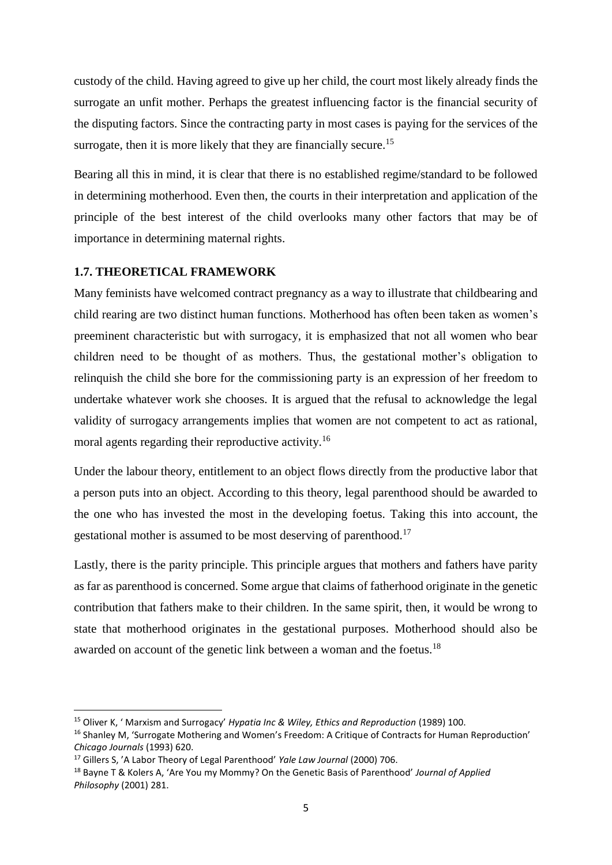custody of the child. Having agreed to give up her child, the court most likely already finds the surrogate an unfit mother. Perhaps the greatest influencing factor is the financial security of the disputing factors. Since the contracting party in most cases is paying for the services of the surrogate, then it is more likely that they are financially secure.<sup>15</sup>

Bearing all this in mind, it is clear that there is no established regime/standard to be followed in determining motherhood. Even then, the courts in their interpretation and application of the principle of the best interest of the child overlooks many other factors that may be of importance in determining maternal rights.

### <span id="page-11-0"></span>**1.7. THEORETICAL FRAMEWORK**

Many feminists have welcomed contract pregnancy as a way to illustrate that childbearing and child rearing are two distinct human functions. Motherhood has often been taken as women's preeminent characteristic but with surrogacy, it is emphasized that not all women who bear children need to be thought of as mothers. Thus, the gestational mother's obligation to relinquish the child she bore for the commissioning party is an expression of her freedom to undertake whatever work she chooses. It is argued that the refusal to acknowledge the legal validity of surrogacy arrangements implies that women are not competent to act as rational, moral agents regarding their reproductive activity.<sup>16</sup>

Under the labour theory, entitlement to an object flows directly from the productive labor that a person puts into an object. According to this theory, legal parenthood should be awarded to the one who has invested the most in the developing foetus. Taking this into account, the gestational mother is assumed to be most deserving of parenthood.<sup>17</sup>

Lastly, there is the parity principle. This principle argues that mothers and fathers have parity as far as parenthood is concerned. Some argue that claims of fatherhood originate in the genetic contribution that fathers make to their children. In the same spirit, then, it would be wrong to state that motherhood originates in the gestational purposes. Motherhood should also be awarded on account of the genetic link between a woman and the foetus.<sup>18</sup>

<sup>15</sup> Oliver K, ' Marxism and Surrogacy' *Hypatia Inc & Wiley, Ethics and Reproduction* (1989) 100.

<sup>&</sup>lt;sup>16</sup> Shanley M, 'Surrogate Mothering and Women's Freedom: A Critique of Contracts for Human Reproduction' *Chicago Journals* (1993) 620.

<sup>17</sup> Gillers S, 'A Labor Theory of Legal Parenthood' *Yale Law Journal* (2000) 706.

<sup>18</sup> Bayne T & Kolers A, 'Are You my Mommy? On the Genetic Basis of Parenthood' *Journal of Applied Philosophy* (2001) 281.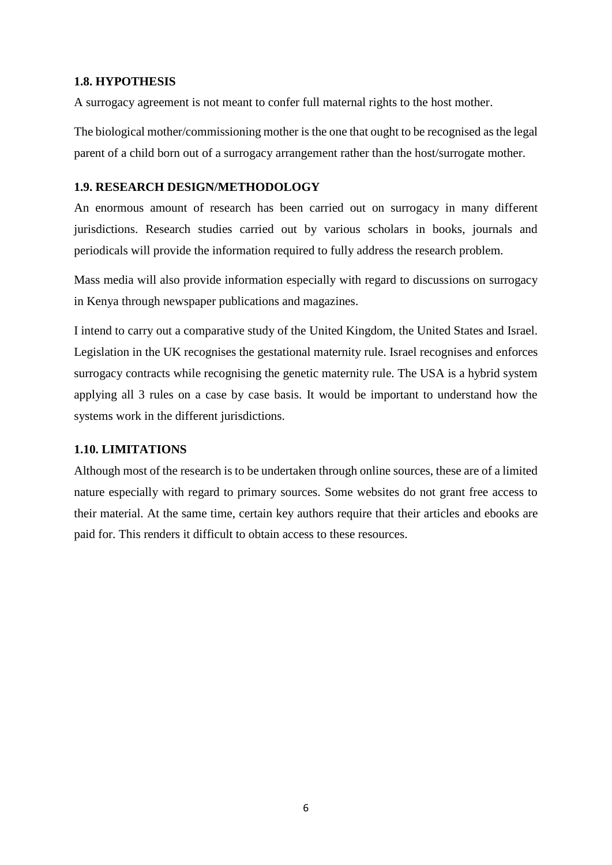#### <span id="page-12-0"></span>**1.8. HYPOTHESIS**

A surrogacy agreement is not meant to confer full maternal rights to the host mother.

The biological mother/commissioning mother is the one that ought to be recognised as the legal parent of a child born out of a surrogacy arrangement rather than the host/surrogate mother.

#### <span id="page-12-1"></span>**1.9. RESEARCH DESIGN/METHODOLOGY**

An enormous amount of research has been carried out on surrogacy in many different jurisdictions. Research studies carried out by various scholars in books, journals and periodicals will provide the information required to fully address the research problem.

Mass media will also provide information especially with regard to discussions on surrogacy in Kenya through newspaper publications and magazines.

I intend to carry out a comparative study of the United Kingdom, the United States and Israel. Legislation in the UK recognises the gestational maternity rule. Israel recognises and enforces surrogacy contracts while recognising the genetic maternity rule. The USA is a hybrid system applying all 3 rules on a case by case basis. It would be important to understand how the systems work in the different jurisdictions.

## <span id="page-12-2"></span>**1.10. LIMITATIONS**

<span id="page-12-3"></span>Although most of the research is to be undertaken through online sources, these are of a limited nature especially with regard to primary sources. Some websites do not grant free access to their material. At the same time, certain key authors require that their articles and ebooks are paid for. This renders it difficult to obtain access to these resources.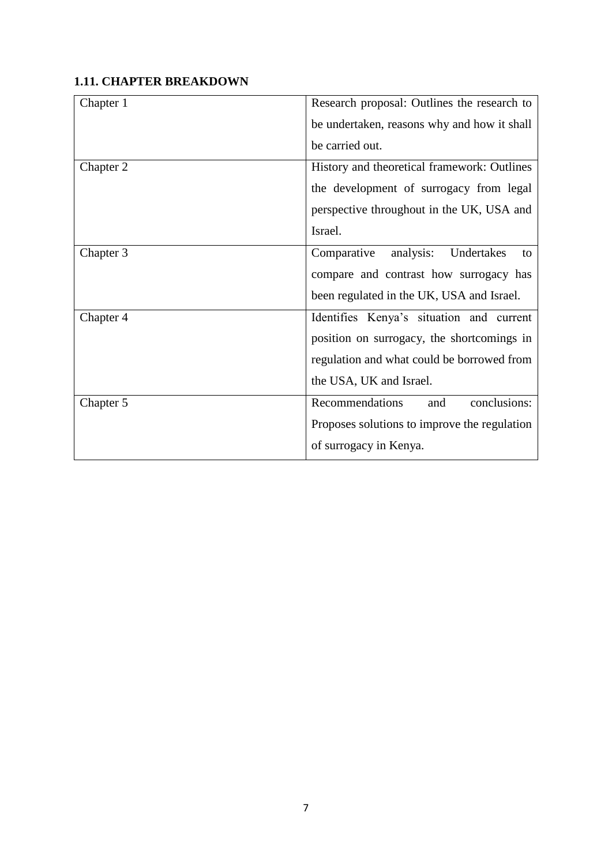# **1.11. CHAPTER BREAKDOWN**

| Chapter 1 | Research proposal: Outlines the research to  |
|-----------|----------------------------------------------|
|           | be undertaken, reasons why and how it shall  |
|           | be carried out.                              |
| Chapter 2 | History and theoretical framework: Outlines  |
|           | the development of surrogacy from legal      |
|           | perspective throughout in the UK, USA and    |
|           | Israel.                                      |
| Chapter 3 | analysis:<br>Undertakes<br>Comparative<br>to |
|           | compare and contrast how surrogacy has       |
|           | been regulated in the UK, USA and Israel.    |
| Chapter 4 | Identifies Kenya's situation and current     |
|           | position on surrogacy, the shortcomings in   |
|           | regulation and what could be borrowed from   |
|           | the USA, UK and Israel.                      |
| Chapter 5 | conclusions:<br>Recommendations<br>and       |
|           | Proposes solutions to improve the regulation |
|           | of surrogacy in Kenya.                       |
|           |                                              |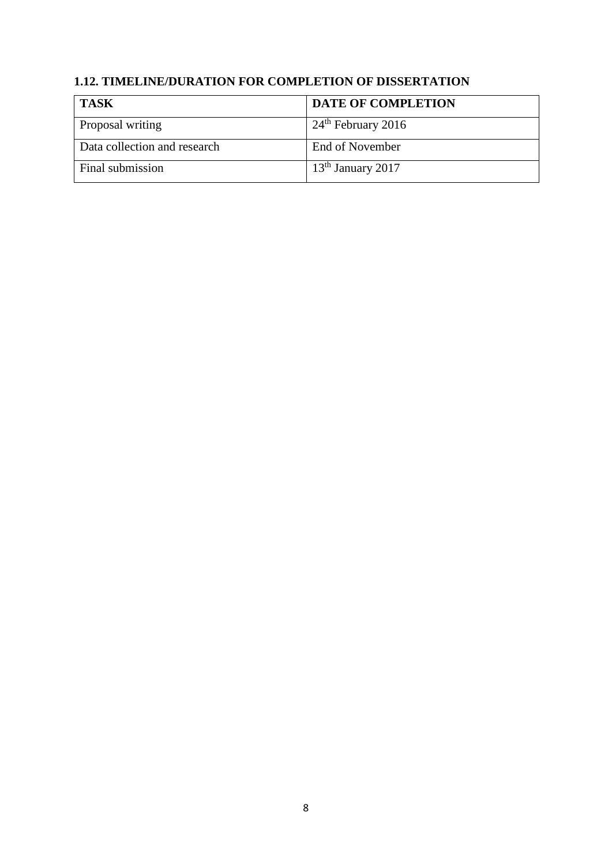# <span id="page-14-0"></span>**1.12. TIMELINE/DURATION FOR COMPLETION OF DISSERTATION**

| <b>TASK</b>                  | <b>DATE OF COMPLETION</b> |
|------------------------------|---------------------------|
| Proposal writing             | $24th$ February 2016      |
| Data collection and research | End of November           |
| Final submission             | $13th$ January 2017       |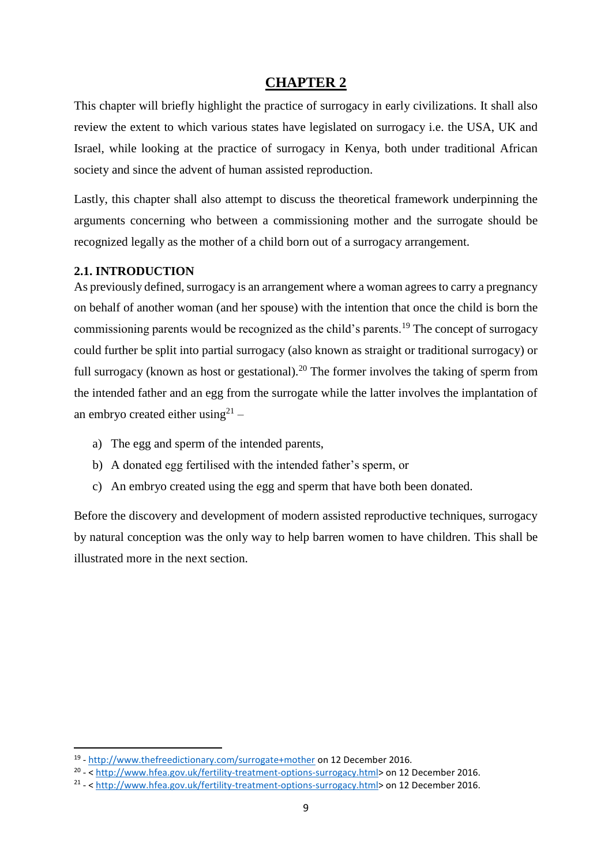# **CHAPTER 2**

<span id="page-15-0"></span>This chapter will briefly highlight the practice of surrogacy in early civilizations. It shall also review the extent to which various states have legislated on surrogacy i.e. the USA, UK and Israel, while looking at the practice of surrogacy in Kenya, both under traditional African society and since the advent of human assisted reproduction.

Lastly, this chapter shall also attempt to discuss the theoretical framework underpinning the arguments concerning who between a commissioning mother and the surrogate should be recognized legally as the mother of a child born out of a surrogacy arrangement.

### <span id="page-15-1"></span>**2.1. INTRODUCTION**

**.** 

As previously defined, surrogacy is an arrangement where a woman agrees to carry a pregnancy on behalf of another woman (and her spouse) with the intention that once the child is born the commissioning parents would be recognized as the child's parents.<sup>19</sup> The concept of surrogacy could further be split into partial surrogacy (also known as straight or traditional surrogacy) or full surrogacy (known as host or gestational).<sup>20</sup> The former involves the taking of sperm from the intended father and an egg from the surrogate while the latter involves the implantation of an embryo created either using $2<sup>1</sup>$  -

- a) The egg and sperm of the intended parents,
- b) A donated egg fertilised with the intended father's sperm, or
- c) An embryo created using the egg and sperm that have both been donated.

Before the discovery and development of modern assisted reproductive techniques, surrogacy by natural conception was the only way to help barren women to have children. This shall be illustrated more in the next section.

<sup>&</sup>lt;sup>19</sup> - <http://www.thefreedictionary.com/surrogate+mother> on 12 December 2016.

<sup>&</sup>lt;sup>20</sup> - < [http://www.hfea.gov.uk/fertility-treatment-options-surrogacy.html>](http://www.hfea.gov.uk/fertility-treatment-options-surrogacy.html) on 12 December 2016.

<sup>&</sup>lt;sup>21</sup> - < [http://www.hfea.gov.uk/fertility-treatment-options-surrogacy.html>](http://www.hfea.gov.uk/fertility-treatment-options-surrogacy.html) on 12 December 2016.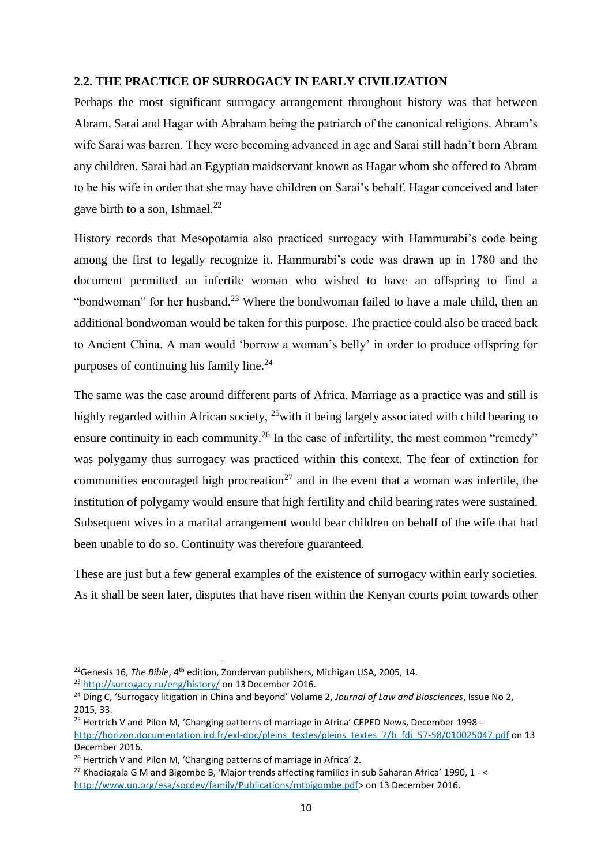#### <span id="page-16-0"></span>**2.2. THE PRACTICE OF SURROGACY IN EARLY CIVILIZATION**

Perhaps the most significant surrogacy arrangement throughout history was that between Abram, Sarai and Hagar with Abraham being the patriarch of the canonical religions. Abram's wife Sarai was barren. They were becoming advanced in age and Sarai still hadn't born Abram any children. Sarai had an Egyptian maidservant known as Hagar whom she offered to Abram to be his wife in order that she may have children on Sarai's behalf. Hagar conceived and later gave birth to a son, Ishmael.<sup>22</sup>

History records that Mesopotamia also practiced surrogacy with Hammurabi's code being among the first to legally recognize it. Hammurabi's code was drawn up in 1780 and the document permitted an infertile woman who wished to have an offspring to find a "bondwoman" for her husband.<sup>23</sup> Where the bondwoman failed to have a male child, then an additional bondwoman would be taken for this purpose. The practice could also be traced back to Ancient China. A man would 'borrow a woman's belly' in order to produce offspring for purposes of continuing his family line. $^{24}$ 

The same was the case around different parts of Africa. Marriage as a practice was and still is highly regarded within African society, <sup>25</sup> with it being largely associated with child bearing to ensure continuity in each community.<sup>26</sup> In the case of infertility, the most common "remedy" was polygamy thus surrogacy was practiced within this context. The fear of extinction for communities encouraged high procreation<sup>27</sup> and in the event that a woman was infertile, the institution of polygamy would ensure that high fertility and child bearing rates were sustained. Subsequent wives in a marital arrangement would bear children on behalf of the wife that had been unable to do so. Continuity was therefore guaranteed.

These are just but a few general examples of the existence of surrogacy within early societies. As it shall be seen later, disputes that have risen within the Kenyan courts point towards other

**.** 

<sup>22</sup>Genesis 16, *The Bible*, 4th edition, Zondervan publishers, Michigan USA, 2005, 14.

<sup>&</sup>lt;sup>23</sup> <http://surrogacy.ru/eng/history/> on 13 December 2016.

<sup>24</sup> Ding C, 'Surrogacy litigation in China and beyond' Volume 2, *Journal of Law and Biosciences*, Issue No 2, 2015, 33.

<sup>&</sup>lt;sup>25</sup> Hertrich V and Pilon M, 'Changing patterns of marriage in Africa' CEPED News, December 1998 [http://horizon.documentation.ird.fr/exl-doc/pleins\\_textes/pleins\\_textes\\_7/b\\_fdi\\_57-58/010025047.pdf](http://horizon.documentation.ird.fr/exl-doc/pleins_textes/pleins_textes_7/b_fdi_57-58/010025047.pdf) on 13 December 2016.

<sup>&</sup>lt;sup>26</sup> Hertrich V and Pilon M, 'Changing patterns of marriage in Africa' 2.

<sup>&</sup>lt;sup>27</sup> Khadiagala G M and Bigombe B, 'Major trends affecting families in sub Saharan Africa' 1990, 1 - < [http://www.un.org/esa/socdev/family/Publications/mtbigombe.pdf>](http://www.un.org/esa/socdev/family/Publications/mtbigombe.pdf) on 13 December 2016.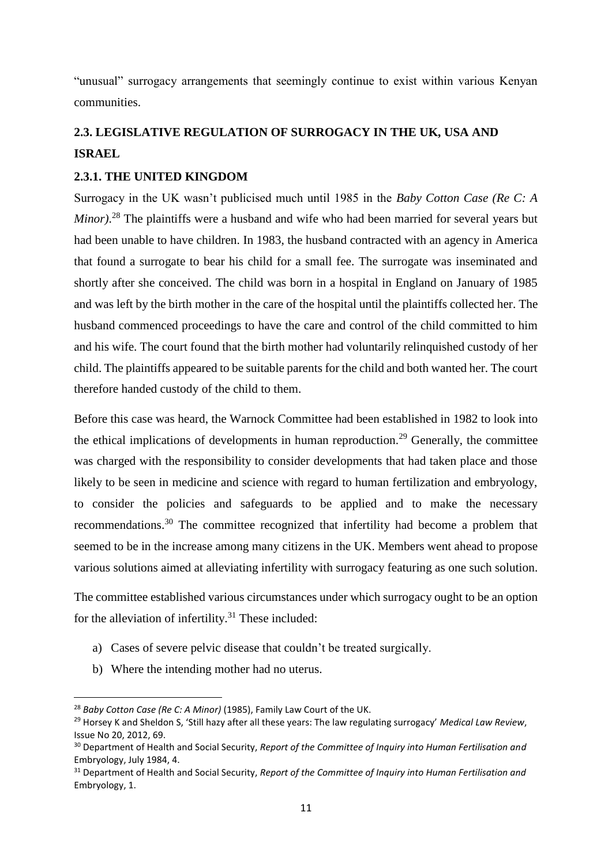"unusual" surrogacy arrangements that seemingly continue to exist within various Kenyan communities.

# <span id="page-17-0"></span>**2.3. LEGISLATIVE REGULATION OF SURROGACY IN THE UK, USA AND ISRAEL**

### <span id="page-17-1"></span>**2.3.1. THE UNITED KINGDOM**

Surrogacy in the UK wasn't publicised much until 1985 in the *Baby Cotton Case (Re C: A Minor)*. <sup>28</sup> The plaintiffs were a husband and wife who had been married for several years but had been unable to have children. In 1983, the husband contracted with an agency in America that found a surrogate to bear his child for a small fee. The surrogate was inseminated and shortly after she conceived. The child was born in a hospital in England on January of 1985 and was left by the birth mother in the care of the hospital until the plaintiffs collected her. The husband commenced proceedings to have the care and control of the child committed to him and his wife. The court found that the birth mother had voluntarily relinquished custody of her child. The plaintiffs appeared to be suitable parents for the child and both wanted her. The court therefore handed custody of the child to them.

Before this case was heard, the Warnock Committee had been established in 1982 to look into the ethical implications of developments in human reproduction.<sup>29</sup> Generally, the committee was charged with the responsibility to consider developments that had taken place and those likely to be seen in medicine and science with regard to human fertilization and embryology, to consider the policies and safeguards to be applied and to make the necessary recommendations.<sup>30</sup> The committee recognized that infertility had become a problem that seemed to be in the increase among many citizens in the UK. Members went ahead to propose various solutions aimed at alleviating infertility with surrogacy featuring as one such solution.

The committee established various circumstances under which surrogacy ought to be an option for the alleviation of infertility. $31$  These included:

- a) Cases of severe pelvic disease that couldn't be treated surgically.
- b) Where the intending mother had no uterus.

 $\overline{a}$ 

<sup>28</sup> *Baby Cotton Case (Re C: A Minor)* (1985), Family Law Court of the UK.

<sup>29</sup> Horsey K and Sheldon S, 'Still hazy after all these years: The law regulating surrogacy' *Medical Law Review*, Issue No 20, 2012, 69.

<sup>30</sup> Department of Health and Social Security, *Report of the Committee of Inquiry into Human Fertilisation and*  Embryology, July 1984, 4.

<sup>31</sup> Department of Health and Social Security, *Report of the Committee of Inquiry into Human Fertilisation and*  Embryology, 1.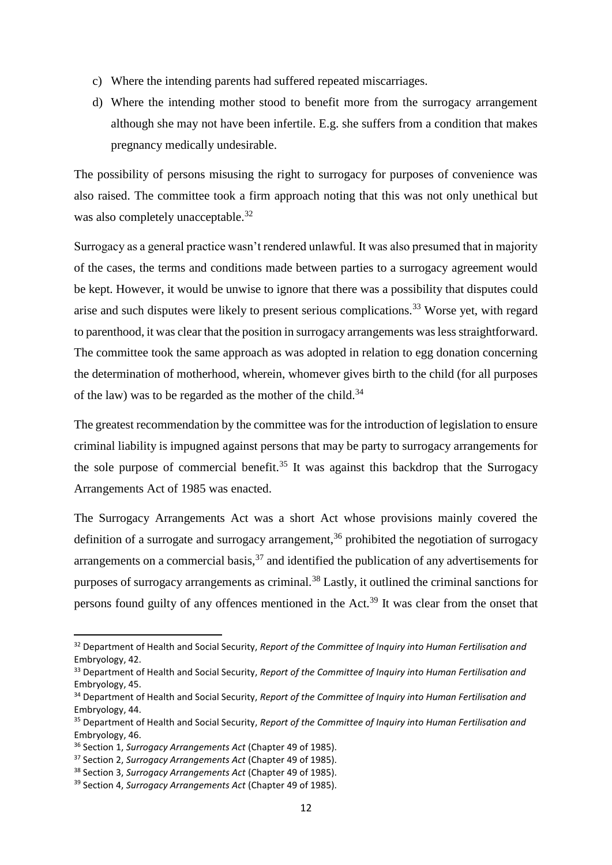- c) Where the intending parents had suffered repeated miscarriages.
- d) Where the intending mother stood to benefit more from the surrogacy arrangement although she may not have been infertile. E.g. she suffers from a condition that makes pregnancy medically undesirable.

The possibility of persons misusing the right to surrogacy for purposes of convenience was also raised. The committee took a firm approach noting that this was not only unethical but was also completely unacceptable.<sup>32</sup>

Surrogacy as a general practice wasn't rendered unlawful. It was also presumed that in majority of the cases, the terms and conditions made between parties to a surrogacy agreement would be kept. However, it would be unwise to ignore that there was a possibility that disputes could arise and such disputes were likely to present serious complications.<sup>33</sup> Worse yet, with regard to parenthood, it was clear that the position in surrogacy arrangements was less straightforward. The committee took the same approach as was adopted in relation to egg donation concerning the determination of motherhood, wherein, whomever gives birth to the child (for all purposes of the law) was to be regarded as the mother of the child.<sup>34</sup>

The greatest recommendation by the committee was for the introduction of legislation to ensure criminal liability is impugned against persons that may be party to surrogacy arrangements for the sole purpose of commercial benefit.<sup>35</sup> It was against this backdrop that the Surrogacy Arrangements Act of 1985 was enacted.

The Surrogacy Arrangements Act was a short Act whose provisions mainly covered the definition of a surrogate and surrogacy arrangement.<sup>36</sup> prohibited the negotiation of surrogacy arrangements on a commercial basis,  $37$  and identified the publication of any advertisements for purposes of surrogacy arrangements as criminal.<sup>38</sup> Lastly, it outlined the criminal sanctions for persons found guilty of any offences mentioned in the Act.<sup>39</sup> It was clear from the onset that

 $\overline{a}$ 

<sup>32</sup> Department of Health and Social Security, *Report of the Committee of Inquiry into Human Fertilisation and*  Embryology, 42.

<sup>33</sup> Department of Health and Social Security, *Report of the Committee of Inquiry into Human Fertilisation and*  Embryology, 45.

<sup>34</sup> Department of Health and Social Security, *Report of the Committee of Inquiry into Human Fertilisation and*  Embryology, 44.

<sup>35</sup> Department of Health and Social Security, *Report of the Committee of Inquiry into Human Fertilisation and*  Embryology, 46.

<sup>36</sup> Section 1, *Surrogacy Arrangements Act* (Chapter 49 of 1985).

<sup>37</sup> Section 2, *Surrogacy Arrangements Act* (Chapter 49 of 1985).

<sup>38</sup> Section 3, *Surrogacy Arrangements Act* (Chapter 49 of 1985).

<sup>39</sup> Section 4, *Surrogacy Arrangements Act* (Chapter 49 of 1985).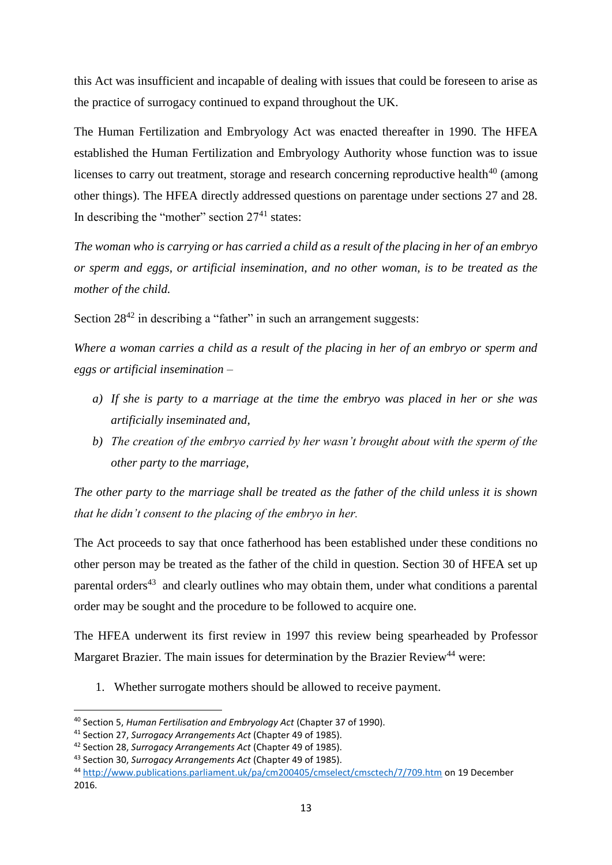this Act was insufficient and incapable of dealing with issues that could be foreseen to arise as the practice of surrogacy continued to expand throughout the UK.

The Human Fertilization and Embryology Act was enacted thereafter in 1990. The HFEA established the Human Fertilization and Embryology Authority whose function was to issue licenses to carry out treatment, storage and research concerning reproductive health<sup>40</sup> (among other things). The HFEA directly addressed questions on parentage under sections 27 and 28. In describing the "mother" section  $27<sup>41</sup>$  states:

*The woman who is carrying or has carried a child as a result of the placing in her of an embryo or sperm and eggs, or artificial insemination, and no other woman, is to be treated as the mother of the child.*

Section  $28^{42}$  in describing a "father" in such an arrangement suggests:

*Where a woman carries a child as a result of the placing in her of an embryo or sperm and eggs or artificial insemination –*

- *a) If she is party to a marriage at the time the embryo was placed in her or she was artificially inseminated and,*
- *b) The creation of the embryo carried by her wasn't brought about with the sperm of the other party to the marriage,*

*The other party to the marriage shall be treated as the father of the child unless it is shown that he didn't consent to the placing of the embryo in her.*

The Act proceeds to say that once fatherhood has been established under these conditions no other person may be treated as the father of the child in question. Section 30 of HFEA set up parental orders<sup>43</sup> and clearly outlines who may obtain them, under what conditions a parental order may be sought and the procedure to be followed to acquire one.

The HFEA underwent its first review in 1997 this review being spearheaded by Professor Margaret Brazier. The main issues for determination by the Brazier Review<sup>44</sup> were:

1. Whether surrogate mothers should be allowed to receive payment.

<sup>1</sup> <sup>40</sup> Section 5, *Human Fertilisation and Embryology Act* (Chapter 37 of 1990).

<sup>41</sup> Section 27, *Surrogacy Arrangements Act* (Chapter 49 of 1985).

<sup>42</sup> Section 28, *Surrogacy Arrangements Act* (Chapter 49 of 1985).

<sup>43</sup> Section 30, *Surrogacy Arrangements Act* (Chapter 49 of 1985).

<sup>44</sup> <http://www.publications.parliament.uk/pa/cm200405/cmselect/cmsctech/7/709.htm> on 19 December 2016.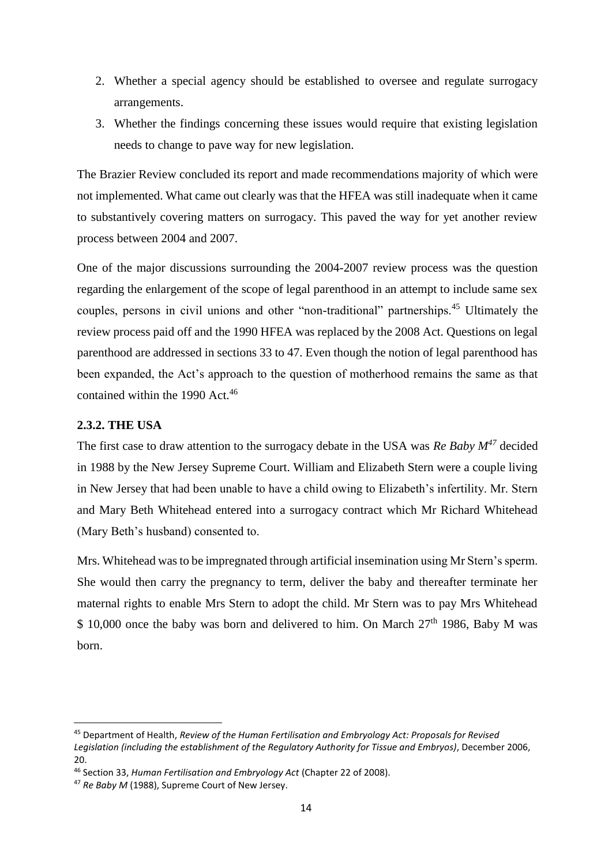- 2. Whether a special agency should be established to oversee and regulate surrogacy arrangements.
- 3. Whether the findings concerning these issues would require that existing legislation needs to change to pave way for new legislation.

The Brazier Review concluded its report and made recommendations majority of which were not implemented. What came out clearly was that the HFEA was still inadequate when it came to substantively covering matters on surrogacy. This paved the way for yet another review process between 2004 and 2007.

One of the major discussions surrounding the 2004-2007 review process was the question regarding the enlargement of the scope of legal parenthood in an attempt to include same sex couples, persons in civil unions and other "non-traditional" partnerships.<sup>45</sup> Ultimately the review process paid off and the 1990 HFEA was replaced by the 2008 Act. Questions on legal parenthood are addressed in sections 33 to 47. Even though the notion of legal parenthood has been expanded, the Act's approach to the question of motherhood remains the same as that contained within the 1990 Act.<sup>46</sup>

## <span id="page-20-0"></span>**2.3.2. THE USA**

 $\overline{a}$ 

The first case to draw attention to the surrogacy debate in the USA was *Re Baby M<sup>47</sup>* decided in 1988 by the New Jersey Supreme Court. William and Elizabeth Stern were a couple living in New Jersey that had been unable to have a child owing to Elizabeth's infertility. Mr. Stern and Mary Beth Whitehead entered into a surrogacy contract which Mr Richard Whitehead (Mary Beth's husband) consented to.

Mrs. Whitehead was to be impregnated through artificial insemination using Mr Stern's sperm. She would then carry the pregnancy to term, deliver the baby and thereafter terminate her maternal rights to enable Mrs Stern to adopt the child. Mr Stern was to pay Mrs Whitehead  $$10,000$  once the baby was born and delivered to him. On March  $27<sup>th</sup> 1986$ , Baby M was born.

<sup>45</sup> Department of Health, *Review of the Human Fertilisation and Embryology Act: Proposals for Revised Legislation (including the establishment of the Regulatory Authority for Tissue and Embryos)*, December 2006, 20.

<sup>46</sup> Section 33, *Human Fertilisation and Embryology Act* (Chapter 22 of 2008).

<sup>47</sup> *Re Baby M* (1988), Supreme Court of New Jersey.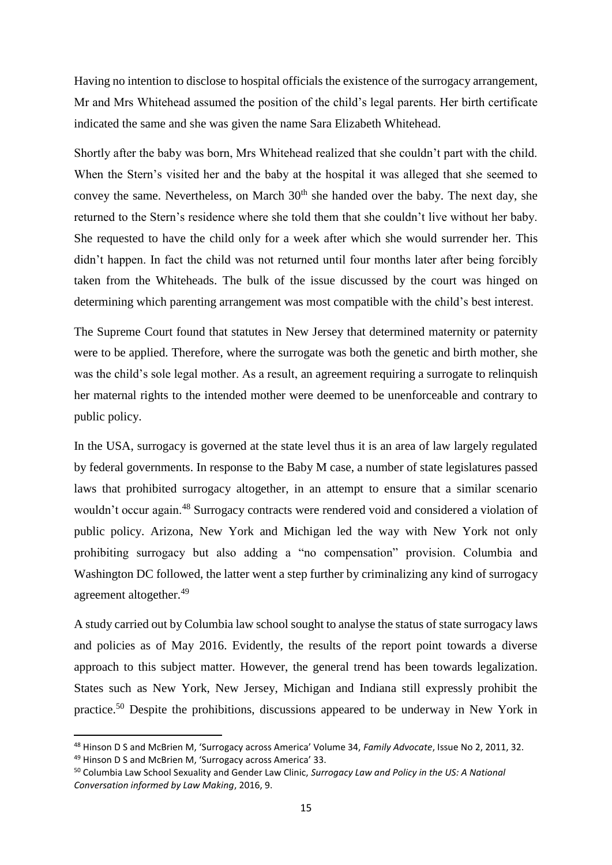Having no intention to disclose to hospital officials the existence of the surrogacy arrangement, Mr and Mrs Whitehead assumed the position of the child's legal parents. Her birth certificate indicated the same and she was given the name Sara Elizabeth Whitehead.

Shortly after the baby was born, Mrs Whitehead realized that she couldn't part with the child. When the Stern's visited her and the baby at the hospital it was alleged that she seemed to convey the same. Nevertheless, on March  $30<sup>th</sup>$  she handed over the baby. The next day, she returned to the Stern's residence where she told them that she couldn't live without her baby. She requested to have the child only for a week after which she would surrender her. This didn't happen. In fact the child was not returned until four months later after being forcibly taken from the Whiteheads. The bulk of the issue discussed by the court was hinged on determining which parenting arrangement was most compatible with the child's best interest.

The Supreme Court found that statutes in New Jersey that determined maternity or paternity were to be applied. Therefore, where the surrogate was both the genetic and birth mother, she was the child's sole legal mother. As a result, an agreement requiring a surrogate to relinquish her maternal rights to the intended mother were deemed to be unenforceable and contrary to public policy.

In the USA, surrogacy is governed at the state level thus it is an area of law largely regulated by federal governments. In response to the Baby M case, a number of state legislatures passed laws that prohibited surrogacy altogether, in an attempt to ensure that a similar scenario wouldn't occur again.<sup>48</sup> Surrogacy contracts were rendered void and considered a violation of public policy. Arizona, New York and Michigan led the way with New York not only prohibiting surrogacy but also adding a "no compensation" provision. Columbia and Washington DC followed, the latter went a step further by criminalizing any kind of surrogacy agreement altogether.<sup>49</sup>

A study carried out by Columbia law school sought to analyse the status of state surrogacy laws and policies as of May 2016. Evidently, the results of the report point towards a diverse approach to this subject matter. However, the general trend has been towards legalization. States such as New York, New Jersey, Michigan and Indiana still expressly prohibit the practice.<sup>50</sup> Despite the prohibitions, discussions appeared to be underway in New York in

<sup>48</sup> Hinson D S and McBrien M, 'Surrogacy across America' Volume 34, *Family Advocate*, Issue No 2, 2011, 32. <sup>49</sup> Hinson D S and McBrien M, 'Surrogacy across America' 33.

<sup>50</sup> Columbia Law School Sexuality and Gender Law Clinic, *Surrogacy Law and Policy in the US: A National Conversation informed by Law Making*, 2016, 9.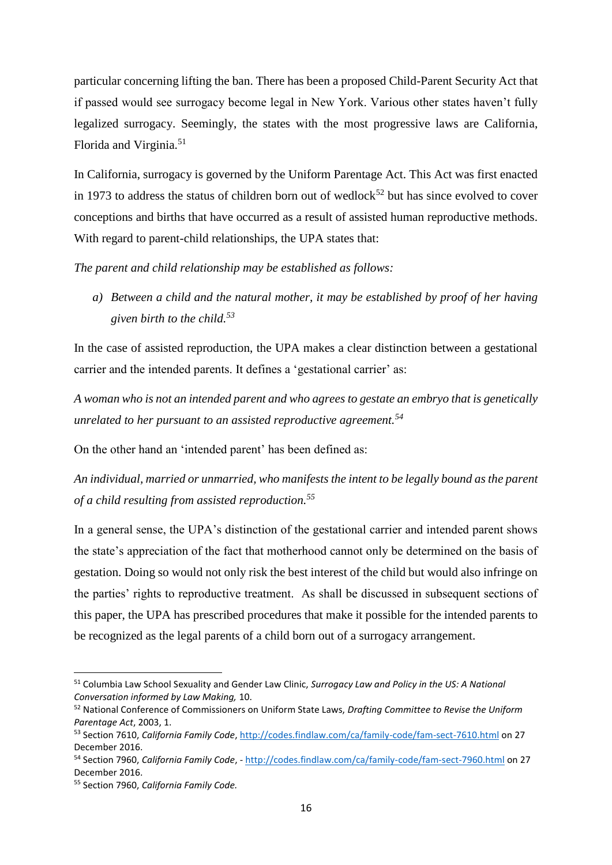particular concerning lifting the ban. There has been a proposed Child-Parent Security Act that if passed would see surrogacy become legal in New York. Various other states haven't fully legalized surrogacy. Seemingly, the states with the most progressive laws are California, Florida and Virginia.<sup>51</sup>

In California, surrogacy is governed by the Uniform Parentage Act. This Act was first enacted in 1973 to address the status of children born out of wedlock<sup>52</sup> but has since evolved to cover conceptions and births that have occurred as a result of assisted human reproductive methods. With regard to parent-child relationships, the UPA states that:

*The parent and child relationship may be established as follows:*

*a) Between a child and the natural mother, it may be established by proof of her having given birth to the child.<sup>53</sup>*

In the case of assisted reproduction, the UPA makes a clear distinction between a gestational carrier and the intended parents. It defines a 'gestational carrier' as:

*A woman who is not an intended parent and who agrees to gestate an embryo that is genetically unrelated to her pursuant to an assisted reproductive agreement.<sup>54</sup>*

On the other hand an 'intended parent' has been defined as:

*An individual, married or unmarried, who manifests the intent to be legally bound as the parent of a child resulting from assisted reproduction.<sup>55</sup>*

In a general sense, the UPA's distinction of the gestational carrier and intended parent shows the state's appreciation of the fact that motherhood cannot only be determined on the basis of gestation. Doing so would not only risk the best interest of the child but would also infringe on the parties' rights to reproductive treatment. As shall be discussed in subsequent sections of this paper, the UPA has prescribed procedures that make it possible for the intended parents to be recognized as the legal parents of a child born out of a surrogacy arrangement.

<sup>51</sup> Columbia Law School Sexuality and Gender Law Clinic, *Surrogacy Law and Policy in the US: A National Conversation informed by Law Making,* 10.

<sup>52</sup> National Conference of Commissioners on Uniform State Laws, *Drafting Committee to Revise the Uniform Parentage Act*, 2003, 1.

<sup>53</sup> Section 7610, *California Family Code*[, http://codes.findlaw.com/ca/family-code/fam-sect-7610.html](http://codes.findlaw.com/ca/family-code/fam-sect-7610.html) on 27 December 2016.

<sup>54</sup> Section 7960, *California Family Code*, - <http://codes.findlaw.com/ca/family-code/fam-sect-7960.html> on 27 December 2016.

<sup>55</sup> Section 7960, *California Family Code.*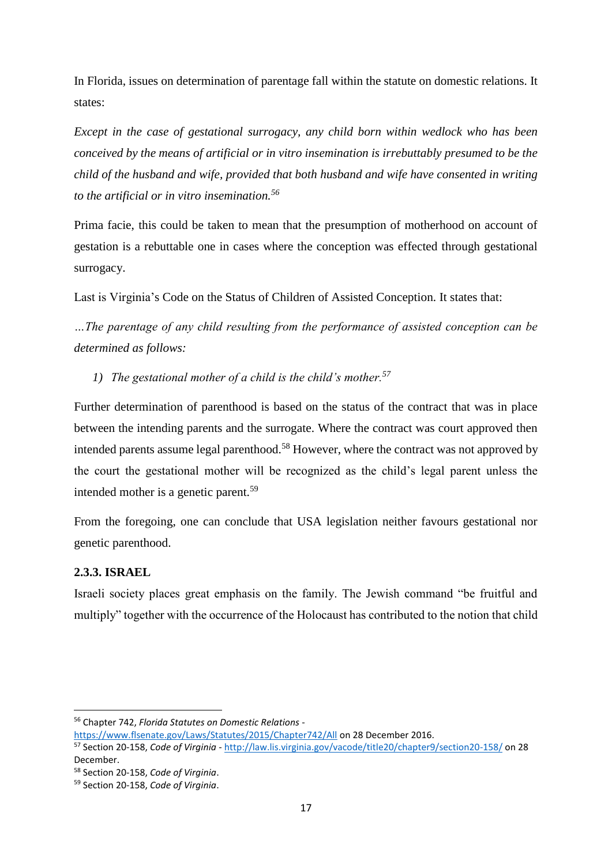In Florida, issues on determination of parentage fall within the statute on domestic relations. It states:

*Except in the case of gestational surrogacy, any child born within wedlock who has been conceived by the means of artificial or in vitro insemination is irrebuttably presumed to be the child of the husband and wife, provided that both husband and wife have consented in writing to the artificial or in vitro insemination.<sup>56</sup>*

Prima facie, this could be taken to mean that the presumption of motherhood on account of gestation is a rebuttable one in cases where the conception was effected through gestational surrogacy.

Last is Virginia's Code on the Status of Children of Assisted Conception. It states that:

*…The parentage of any child resulting from the performance of assisted conception can be determined as follows:*

*1) The gestational mother of a child is the child's mother.<sup>57</sup>*

Further determination of parenthood is based on the status of the contract that was in place between the intending parents and the surrogate. Where the contract was court approved then intended parents assume legal parenthood.<sup>58</sup> However, where the contract was not approved by the court the gestational mother will be recognized as the child's legal parent unless the intended mother is a genetic parent.<sup>59</sup>

From the foregoing, one can conclude that USA legislation neither favours gestational nor genetic parenthood.

## <span id="page-23-0"></span>**2.3.3. ISRAEL**

1

Israeli society places great emphasis on the family. The Jewish command "be fruitful and multiply" together with the occurrence of the Holocaust has contributed to the notion that child

<sup>56</sup> Chapter 742, *Florida Statutes on Domestic Relations* -

<https://www.flsenate.gov/Laws/Statutes/2015/Chapter742/All> on 28 December 2016.

<sup>57</sup> Section 20-158, *Code of Virginia* - <http://law.lis.virginia.gov/vacode/title20/chapter9/section20-158/> on 28 December.

<sup>58</sup> Section 20-158, *Code of Virginia*.

<sup>59</sup> Section 20-158, *Code of Virginia*.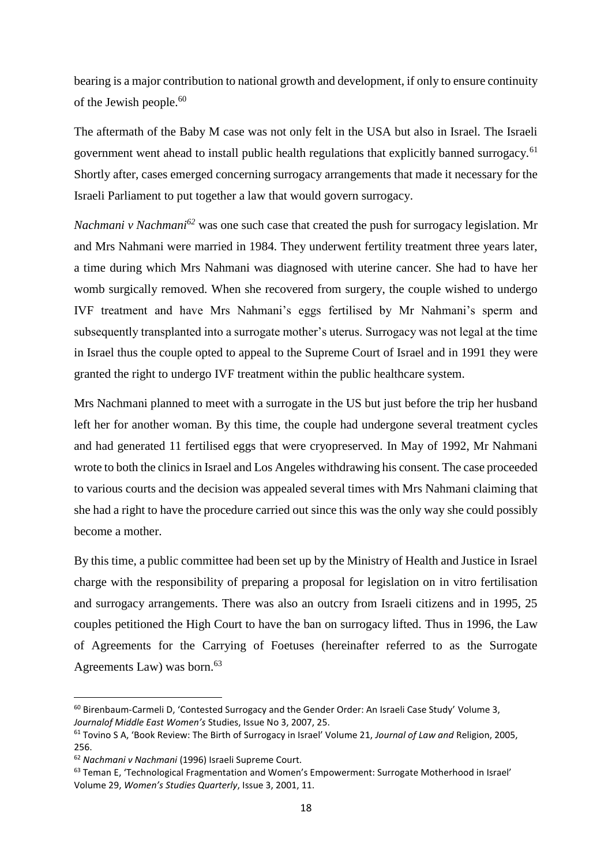bearing is a major contribution to national growth and development, if only to ensure continuity of the Jewish people. $60$ 

The aftermath of the Baby M case was not only felt in the USA but also in Israel. The Israeli government went ahead to install public health regulations that explicitly banned surrogacy.<sup>61</sup> Shortly after, cases emerged concerning surrogacy arrangements that made it necessary for the Israeli Parliament to put together a law that would govern surrogacy.

*Nachmani v Nachmani<sup>62</sup>* was one such case that created the push for surrogacy legislation. Mr and Mrs Nahmani were married in 1984. They underwent fertility treatment three years later, a time during which Mrs Nahmani was diagnosed with uterine cancer. She had to have her womb surgically removed. When she recovered from surgery, the couple wished to undergo IVF treatment and have Mrs Nahmani's eggs fertilised by Mr Nahmani's sperm and subsequently transplanted into a surrogate mother's uterus. Surrogacy was not legal at the time in Israel thus the couple opted to appeal to the Supreme Court of Israel and in 1991 they were granted the right to undergo IVF treatment within the public healthcare system.

Mrs Nachmani planned to meet with a surrogate in the US but just before the trip her husband left her for another woman. By this time, the couple had undergone several treatment cycles and had generated 11 fertilised eggs that were cryopreserved. In May of 1992, Mr Nahmani wrote to both the clinics in Israel and Los Angeles withdrawing his consent. The case proceeded to various courts and the decision was appealed several times with Mrs Nahmani claiming that she had a right to have the procedure carried out since this was the only way she could possibly become a mother.

By this time, a public committee had been set up by the Ministry of Health and Justice in Israel charge with the responsibility of preparing a proposal for legislation on in vitro fertilisation and surrogacy arrangements. There was also an outcry from Israeli citizens and in 1995, 25 couples petitioned the High Court to have the ban on surrogacy lifted. Thus in 1996, the Law of Agreements for the Carrying of Foetuses (hereinafter referred to as the Surrogate Agreements Law) was born. $63$ 

 $\overline{a}$ 

<sup>&</sup>lt;sup>60</sup> Birenbaum-Carmeli D, 'Contested Surrogacy and the Gender Order: An Israeli Case Study' Volume 3, *Journalof Middle East Women's* Studies, Issue No 3, 2007, 25.

<sup>61</sup> Tovino S A, 'Book Review: The Birth of Surrogacy in Israel' Volume 21, *Journal of Law and* Religion, 2005, 256.

<sup>62</sup> *Nachmani v Nachmani* (1996) Israeli Supreme Court.

<sup>63</sup> Teman E, 'Technological Fragmentation and Women's Empowerment: Surrogate Motherhood in Israel' Volume 29, *Women's Studies Quarterly*, Issue 3, 2001, 11.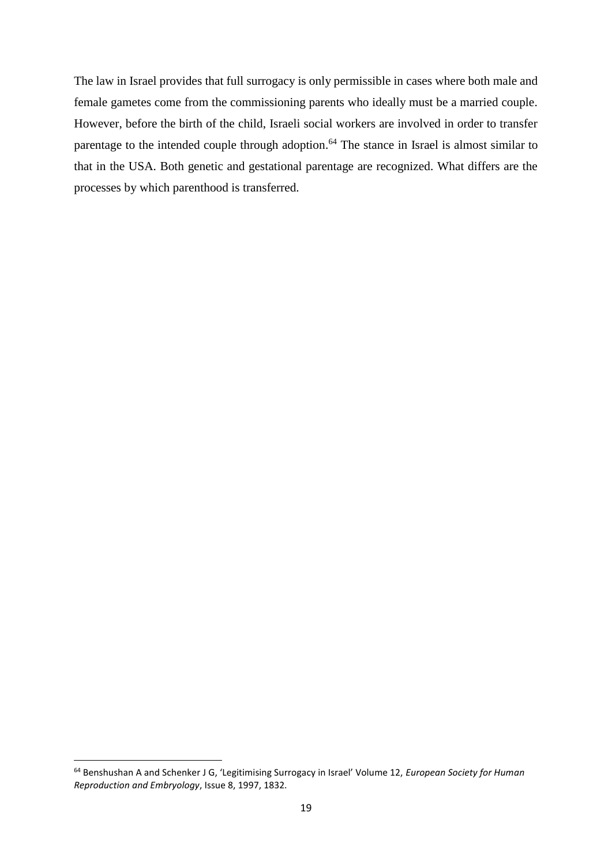The law in Israel provides that full surrogacy is only permissible in cases where both male and female gametes come from the commissioning parents who ideally must be a married couple. However, before the birth of the child, Israeli social workers are involved in order to transfer parentage to the intended couple through adoption.<sup>64</sup> The stance in Israel is almost similar to that in the USA. Both genetic and gestational parentage are recognized. What differs are the processes by which parenthood is transferred.

<sup>64</sup> Benshushan A and Schenker J G, 'Legitimising Surrogacy in Israel' Volume 12, *European Society for Human Reproduction and Embryology*, Issue 8, 1997, 1832.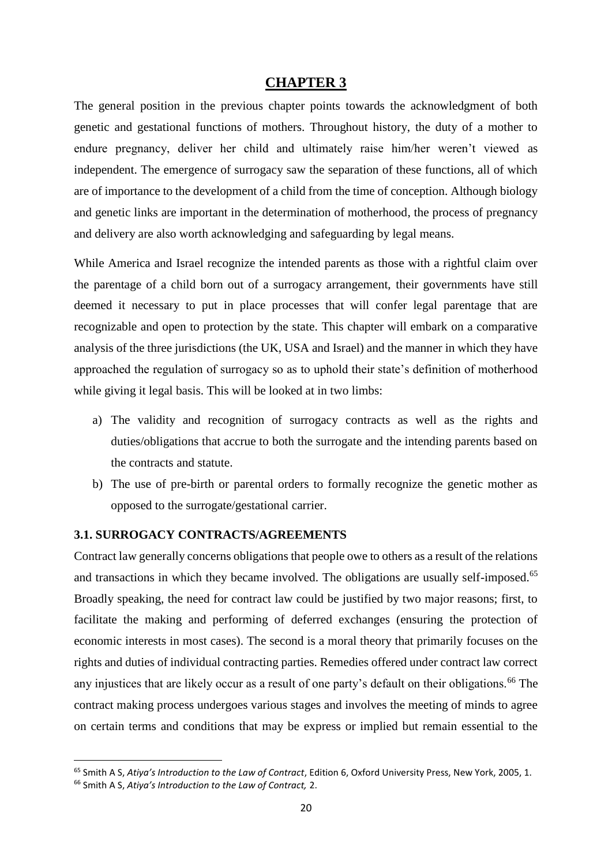#### **CHAPTER 3**

<span id="page-26-0"></span>The general position in the previous chapter points towards the acknowledgment of both genetic and gestational functions of mothers. Throughout history, the duty of a mother to endure pregnancy, deliver her child and ultimately raise him/her weren't viewed as independent. The emergence of surrogacy saw the separation of these functions, all of which are of importance to the development of a child from the time of conception. Although biology and genetic links are important in the determination of motherhood, the process of pregnancy and delivery are also worth acknowledging and safeguarding by legal means.

While America and Israel recognize the intended parents as those with a rightful claim over the parentage of a child born out of a surrogacy arrangement, their governments have still deemed it necessary to put in place processes that will confer legal parentage that are recognizable and open to protection by the state. This chapter will embark on a comparative analysis of the three jurisdictions (the UK, USA and Israel) and the manner in which they have approached the regulation of surrogacy so as to uphold their state's definition of motherhood while giving it legal basis. This will be looked at in two limbs:

- a) The validity and recognition of surrogacy contracts as well as the rights and duties/obligations that accrue to both the surrogate and the intending parents based on the contracts and statute.
- b) The use of pre-birth or parental orders to formally recognize the genetic mother as opposed to the surrogate/gestational carrier.

#### <span id="page-26-1"></span>**3.1. SURROGACY CONTRACTS/AGREEMENTS**

Contract law generally concerns obligations that people owe to others as a result of the relations and transactions in which they became involved. The obligations are usually self-imposed.<sup>65</sup> Broadly speaking, the need for contract law could be justified by two major reasons; first, to facilitate the making and performing of deferred exchanges (ensuring the protection of economic interests in most cases). The second is a moral theory that primarily focuses on the rights and duties of individual contracting parties. Remedies offered under contract law correct any injustices that are likely occur as a result of one party's default on their obligations.<sup>66</sup> The contract making process undergoes various stages and involves the meeting of minds to agree on certain terms and conditions that may be express or implied but remain essential to the

<sup>65</sup> Smith A S, *Atiya's Introduction to the Law of Contract*, Edition 6, Oxford University Press, New York, 2005, 1.

<sup>66</sup> Smith A S, *Atiya's Introduction to the Law of Contract,* 2.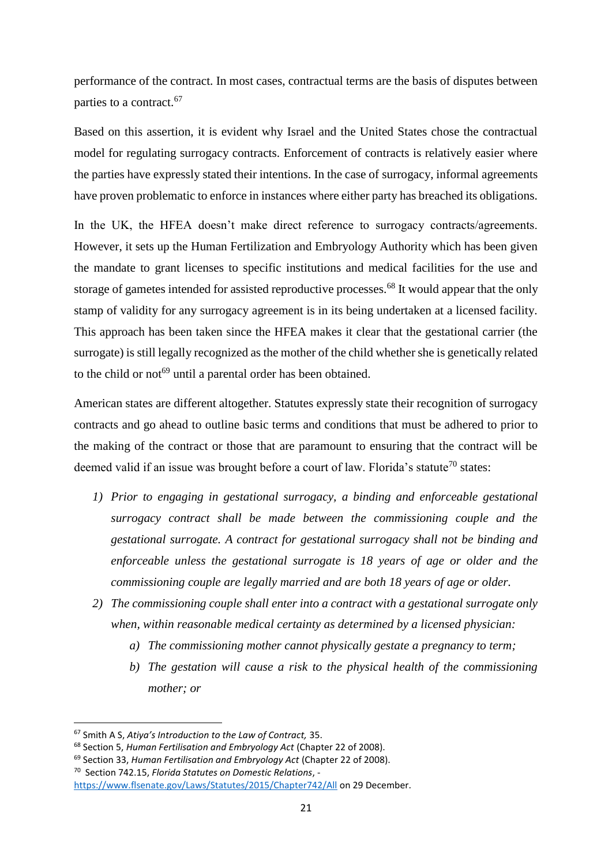performance of the contract. In most cases, contractual terms are the basis of disputes between parties to a contract.<sup>67</sup>

Based on this assertion, it is evident why Israel and the United States chose the contractual model for regulating surrogacy contracts. Enforcement of contracts is relatively easier where the parties have expressly stated their intentions. In the case of surrogacy, informal agreements have proven problematic to enforce in instances where either party has breached its obligations.

In the UK, the HFEA doesn't make direct reference to surrogacy contracts/agreements. However, it sets up the Human Fertilization and Embryology Authority which has been given the mandate to grant licenses to specific institutions and medical facilities for the use and storage of gametes intended for assisted reproductive processes.<sup>68</sup> It would appear that the only stamp of validity for any surrogacy agreement is in its being undertaken at a licensed facility. This approach has been taken since the HFEA makes it clear that the gestational carrier (the surrogate) is still legally recognized as the mother of the child whether she is genetically related to the child or not<sup>69</sup> until a parental order has been obtained.

American states are different altogether. Statutes expressly state their recognition of surrogacy contracts and go ahead to outline basic terms and conditions that must be adhered to prior to the making of the contract or those that are paramount to ensuring that the contract will be deemed valid if an issue was brought before a court of law. Florida's statute<sup>70</sup> states:

- *1) Prior to engaging in gestational surrogacy, a binding and enforceable gestational surrogacy contract shall be made between the commissioning couple and the gestational surrogate. A contract for gestational surrogacy shall not be binding and enforceable unless the gestational surrogate is 18 years of age or older and the commissioning couple are legally married and are both 18 years of age or older.*
- *2) The commissioning couple shall enter into a contract with a gestational surrogate only when, within reasonable medical certainty as determined by a licensed physician:*
	- *a) The commissioning mother cannot physically gestate a pregnancy to term;*
	- *b) The gestation will cause a risk to the physical health of the commissioning mother; or*

 $\overline{a}$ 

<sup>70</sup> Section 742.15, *Florida Statutes on Domestic Relations*, -

<sup>67</sup> Smith A S, *Atiya's Introduction to the Law of Contract,* 35.

<sup>68</sup> Section 5, *Human Fertilisation and Embryology Act* (Chapter 22 of 2008).

<sup>69</sup> Section 33, *Human Fertilisation and Embryology Act* (Chapter 22 of 2008).

<https://www.flsenate.gov/Laws/Statutes/2015/Chapter742/All> on 29 December.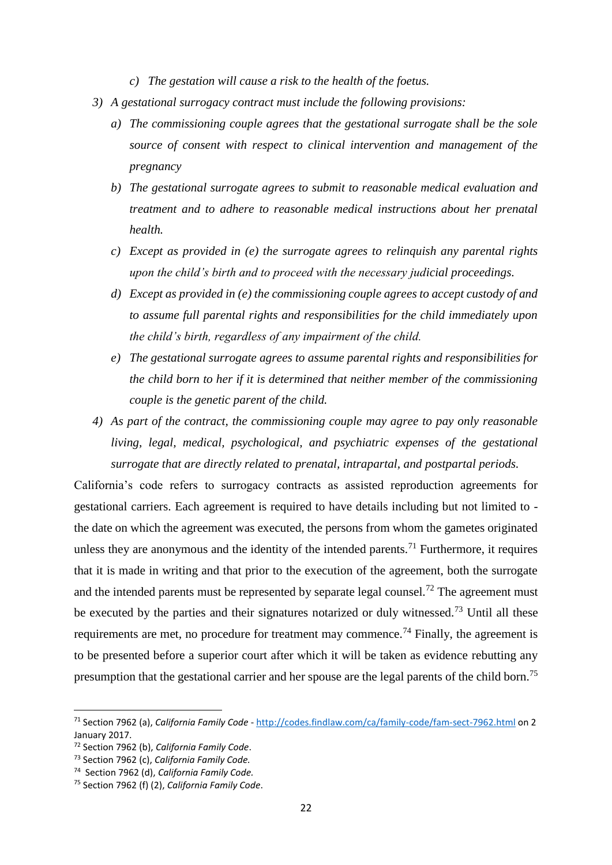- *c) The gestation will cause a risk to the health of the foetus.*
- *3) A gestational surrogacy contract must include the following provisions:*
	- *a) The commissioning couple agrees that the gestational surrogate shall be the sole source of consent with respect to clinical intervention and management of the pregnancy*
	- *b) The gestational surrogate agrees to submit to reasonable medical evaluation and treatment and to adhere to reasonable medical instructions about her prenatal health.*
	- *c) Except as provided in (e) the surrogate agrees to relinquish any parental rights upon the child's birth and to proceed with the necessary judicial proceedings.*
	- *d) Except as provided in (e) the commissioning couple agrees to accept custody of and to assume full parental rights and responsibilities for the child immediately upon the child's birth, regardless of any impairment of the child.*
	- *e) The gestational surrogate agrees to assume parental rights and responsibilities for the child born to her if it is determined that neither member of the commissioning couple is the genetic parent of the child.*
- *4) As part of the contract, the commissioning couple may agree to pay only reasonable living, legal, medical, psychological, and psychiatric expenses of the gestational surrogate that are directly related to prenatal, intrapartal, and postpartal periods.*

California's code refers to surrogacy contracts as assisted reproduction agreements for gestational carriers. Each agreement is required to have details including but not limited to the date on which the agreement was executed, the persons from whom the gametes originated unless they are anonymous and the identity of the intended parents.<sup>71</sup> Furthermore, it requires that it is made in writing and that prior to the execution of the agreement, both the surrogate and the intended parents must be represented by separate legal counsel.<sup>72</sup> The agreement must be executed by the parties and their signatures notarized or duly witnessed.<sup>73</sup> Until all these requirements are met, no procedure for treatment may commence.<sup>74</sup> Finally, the agreement is to be presented before a superior court after which it will be taken as evidence rebutting any presumption that the gestational carrier and her spouse are the legal parents of the child born.<sup>75</sup>

<sup>71</sup> Section 7962 (a), *California Family Code* - <http://codes.findlaw.com/ca/family-code/fam-sect-7962.html> on 2 January 2017.

<sup>72</sup> Section 7962 (b), *California Family Code*.

<sup>73</sup> Section 7962 (c), *California Family Code.*

<sup>74</sup> Section 7962 (d), *California Family Code.*

<sup>75</sup> Section 7962 (f) (2), *California Family Code*.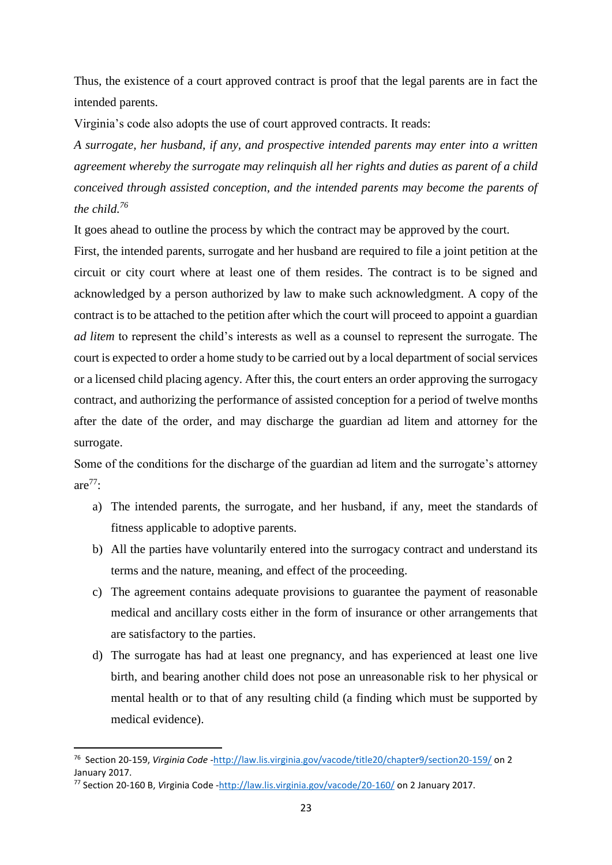Thus, the existence of a court approved contract is proof that the legal parents are in fact the intended parents.

Virginia's code also adopts the use of court approved contracts. It reads:

*A surrogate, her husband, if any, and prospective intended parents may enter into a written agreement whereby the surrogate may relinquish all her rights and duties as parent of a child conceived through assisted conception, and the intended parents may become the parents of the child. 76*

It goes ahead to outline the process by which the contract may be approved by the court.

First, the intended parents, surrogate and her husband are required to file a joint petition at the circuit or city court where at least one of them resides. The contract is to be signed and acknowledged by a person authorized by law to make such acknowledgment. A copy of the contract is to be attached to the petition after which the court will proceed to appoint a guardian *ad litem* to represent the child's interests as well as a counsel to represent the surrogate. The court is expected to order a home study to be carried out by a local department of social services or a licensed child placing agency. After this, the court enters an order approving the surrogacy contract, and authorizing the performance of assisted conception for a period of twelve months after the date of the order, and may discharge the guardian ad litem and attorney for the surrogate.

Some of the conditions for the discharge of the guardian ad litem and the surrogate's attorney are $77$ :

- a) The intended parents, the surrogate, and her husband, if any, meet the standards of fitness applicable to adoptive parents.
- b) All the parties have voluntarily entered into the surrogacy contract and understand its terms and the nature, meaning, and effect of the proceeding.
- c) The agreement contains adequate provisions to guarantee the payment of reasonable medical and ancillary costs either in the form of insurance or other arrangements that are satisfactory to the parties.
- d) The surrogate has had at least one pregnancy, and has experienced at least one live birth, and bearing another child does not pose an unreasonable risk to her physical or mental health or to that of any resulting child (a finding which must be supported by medical evidence).

**.** 

<sup>76</sup> Section 20-159, *Virginia Code* [-http://law.lis.virginia.gov/vacode/title20/chapter9/section20-159/](http://law.lis.virginia.gov/vacode/title20/chapter9/section20-159/) on 2 January 2017.

<sup>77</sup> Section 20-160 B, *V*irginia Code [-http://law.lis.virginia.gov/vacode/20-160/](http://law.lis.virginia.gov/vacode/20-160/) on 2 January 2017.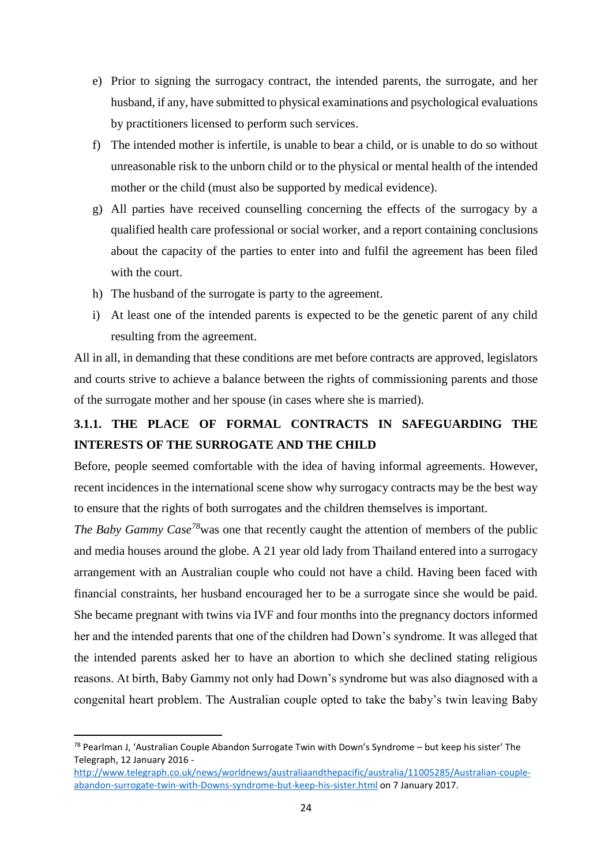- e) Prior to signing the surrogacy contract, the intended parents, the surrogate, and her husband, if any, have submitted to physical examinations and psychological evaluations by practitioners licensed to perform such services.
- f) The intended mother is infertile, is unable to bear a child, or is unable to do so without unreasonable risk to the unborn child or to the physical or mental health of the intended mother or the child (must also be supported by medical evidence).
- g) All parties have received counselling concerning the effects of the surrogacy by a qualified health care professional or social worker, and a report containing conclusions about the capacity of the parties to enter into and fulfil the agreement has been filed with the court.
- h) The husband of the surrogate is party to the agreement.
- i) At least one of the intended parents is expected to be the genetic parent of any child resulting from the agreement.

All in all, in demanding that these conditions are met before contracts are approved, legislators and courts strive to achieve a balance between the rights of commissioning parents and those of the surrogate mother and her spouse (in cases where she is married).

# <span id="page-30-0"></span>**3.1.1. THE PLACE OF FORMAL CONTRACTS IN SAFEGUARDING THE INTERESTS OF THE SURROGATE AND THE CHILD**

Before, people seemed comfortable with the idea of having informal agreements. However, recent incidences in the international scene show why surrogacy contracts may be the best way to ensure that the rights of both surrogates and the children themselves is important.

*The Baby Gammy Case*<sup>78</sup>was one that recently caught the attention of members of the public and media houses around the globe. A 21 year old lady from Thailand entered into a surrogacy arrangement with an Australian couple who could not have a child. Having been faced with financial constraints, her husband encouraged her to be a surrogate since she would be paid. She became pregnant with twins via IVF and four months into the pregnancy doctors informed her and the intended parents that one of the children had Down's syndrome. It was alleged that the intended parents asked her to have an abortion to which she declined stating religious reasons. At birth, Baby Gammy not only had Down's syndrome but was also diagnosed with a congenital heart problem. The Australian couple opted to take the baby's twin leaving Baby

<sup>78</sup> Pearlman J, 'Australian Couple Abandon Surrogate Twin with Down's Syndrome – but keep his sister' The Telegraph, 12 January 2016 -

[http://www.telegraph.co.uk/news/worldnews/australiaandthepacific/australia/11005285/Australian-couple](http://www.telegraph.co.uk/news/worldnews/australiaandthepacific/australia/11005285/Australian-couple-abandon-surrogate-twin-with-Downs-syndrome-but-keep-his-sister.html)[abandon-surrogate-twin-with-Downs-syndrome-but-keep-his-sister.html](http://www.telegraph.co.uk/news/worldnews/australiaandthepacific/australia/11005285/Australian-couple-abandon-surrogate-twin-with-Downs-syndrome-but-keep-his-sister.html) on 7 January 2017.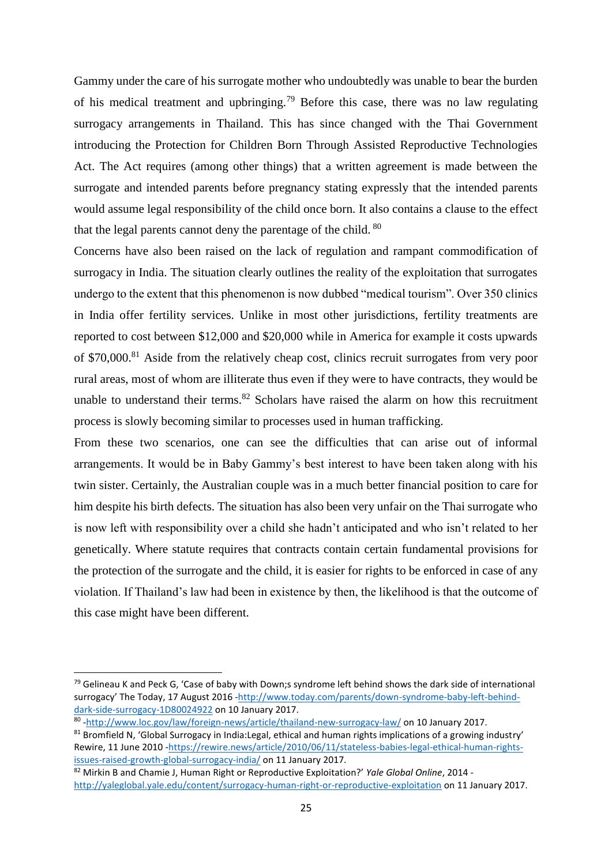Gammy under the care of his surrogate mother who undoubtedly was unable to bear the burden of his medical treatment and upbringing.<sup>79</sup> Before this case, there was no law regulating surrogacy arrangements in Thailand. This has since changed with the Thai Government introducing the Protection for Children Born Through Assisted Reproductive Technologies Act. The Act requires (among other things) that a written agreement is made between the surrogate and intended parents before pregnancy stating expressly that the intended parents would assume legal responsibility of the child once born. It also contains a clause to the effect that the legal parents cannot deny the parentage of the child. <sup>80</sup>

Concerns have also been raised on the lack of regulation and rampant commodification of surrogacy in India. The situation clearly outlines the reality of the exploitation that surrogates undergo to the extent that this phenomenon is now dubbed "medical tourism". Over 350 clinics in India offer fertility services. Unlike in most other jurisdictions, fertility treatments are reported to cost between \$12,000 and \$20,000 while in America for example it costs upwards of \$70,000.<sup>81</sup> Aside from the relatively cheap cost, clinics recruit surrogates from very poor rural areas, most of whom are illiterate thus even if they were to have contracts, they would be unable to understand their terms. $82$  Scholars have raised the alarm on how this recruitment process is slowly becoming similar to processes used in human trafficking.

From these two scenarios, one can see the difficulties that can arise out of informal arrangements. It would be in Baby Gammy's best interest to have been taken along with his twin sister. Certainly, the Australian couple was in a much better financial position to care for him despite his birth defects. The situation has also been very unfair on the Thai surrogate who is now left with responsibility over a child she hadn't anticipated and who isn't related to her genetically. Where statute requires that contracts contain certain fundamental provisions for the protection of the surrogate and the child, it is easier for rights to be enforced in case of any violation. If Thailand's law had been in existence by then, the likelihood is that the outcome of this case might have been different.

 $79$  Gelineau K and Peck G, 'Case of baby with Down;s syndrome left behind shows the dark side of international surrogacy' The Today, 17 August 2016 [-http://www.today.com/parents/down-syndrome-baby-left-behind](http://www.today.com/parents/down-syndrome-baby-left-behind-dark-side-surrogacy-1D80024922)[dark-side-surrogacy-1D80024922](http://www.today.com/parents/down-syndrome-baby-left-behind-dark-side-surrogacy-1D80024922) on 10 January 2017.

<sup>80</sup> [-http://www.loc.gov/law/foreign-news/article/thailand-new-surrogacy-law/](http://www.loc.gov/law/foreign-news/article/thailand-new-surrogacy-law/) on 10 January 2017.

<sup>&</sup>lt;sup>81</sup> Bromfield N, 'Global Surrogacy in India:Legal, ethical and human rights implications of a growing industry' Rewire, 11 June 2010 [-https://rewire.news/article/2010/06/11/stateless-babies-legal-ethical-human-rights](https://rewire.news/article/2010/06/11/stateless-babies-legal-ethical-human-rights-issues-raised-growth-global-surrogacy-india/)[issues-raised-growth-global-surrogacy-india/](https://rewire.news/article/2010/06/11/stateless-babies-legal-ethical-human-rights-issues-raised-growth-global-surrogacy-india/) on 11 January 2017.

<sup>82</sup> Mirkin B and Chamie J, Human Right or Reproductive Exploitation?' *Yale Global Online*, 2014 <http://yaleglobal.yale.edu/content/surrogacy-human-right-or-reproductive-exploitation> on 11 January 2017.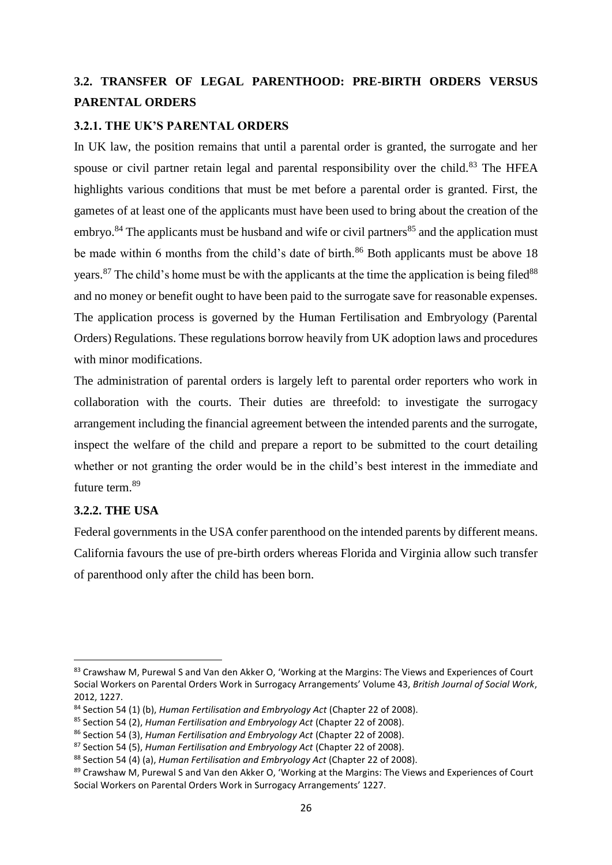# <span id="page-32-0"></span>**3.2. TRANSFER OF LEGAL PARENTHOOD: PRE-BIRTH ORDERS VERSUS PARENTAL ORDERS**

## <span id="page-32-1"></span>**3.2.1. THE UK'S PARENTAL ORDERS**

In UK law, the position remains that until a parental order is granted, the surrogate and her spouse or civil partner retain legal and parental responsibility over the child.<sup>83</sup> The HFEA highlights various conditions that must be met before a parental order is granted. First, the gametes of at least one of the applicants must have been used to bring about the creation of the embryo.<sup>84</sup> The applicants must be husband and wife or civil partners<sup>85</sup> and the application must be made within 6 months from the child's date of birth.<sup>86</sup> Both applicants must be above 18 years. <sup>87</sup> The child's home must be with the applicants at the time the application is being filed<sup>88</sup> and no money or benefit ought to have been paid to the surrogate save for reasonable expenses. The application process is governed by the Human Fertilisation and Embryology (Parental Orders) Regulations. These regulations borrow heavily from UK adoption laws and procedures with minor modifications.

The administration of parental orders is largely left to parental order reporters who work in collaboration with the courts. Their duties are threefold: to investigate the surrogacy arrangement including the financial agreement between the intended parents and the surrogate, inspect the welfare of the child and prepare a report to be submitted to the court detailing whether or not granting the order would be in the child's best interest in the immediate and future term.<sup>89</sup>

# <span id="page-32-2"></span>**3.2.2. THE USA**

**.** 

Federal governments in the USA confer parenthood on the intended parents by different means. California favours the use of pre-birth orders whereas Florida and Virginia allow such transfer of parenthood only after the child has been born.

<sup>83</sup> Crawshaw M, Purewal S and Van den Akker O, 'Working at the Margins: The Views and Experiences of Court Social Workers on Parental Orders Work in Surrogacy Arrangements' Volume 43, *British Journal of Social Work*, 2012, 1227.

<sup>84</sup> Section 54 (1) (b), *Human Fertilisation and Embryology Act* (Chapter 22 of 2008).

<sup>85</sup> Section 54 (2), *Human Fertilisation and Embryology Act* (Chapter 22 of 2008).

<sup>86</sup> Section 54 (3), *Human Fertilisation and Embryology Act* (Chapter 22 of 2008).

<sup>87</sup> Section 54 (5), *Human Fertilisation and Embryology Act* (Chapter 22 of 2008).

<sup>88</sup> Section 54 (4) (a), *Human Fertilisation and Embryology Act* (Chapter 22 of 2008).

<sup>89</sup> Crawshaw M, Purewal S and Van den Akker O, 'Working at the Margins: The Views and Experiences of Court Social Workers on Parental Orders Work in Surrogacy Arrangements' 1227.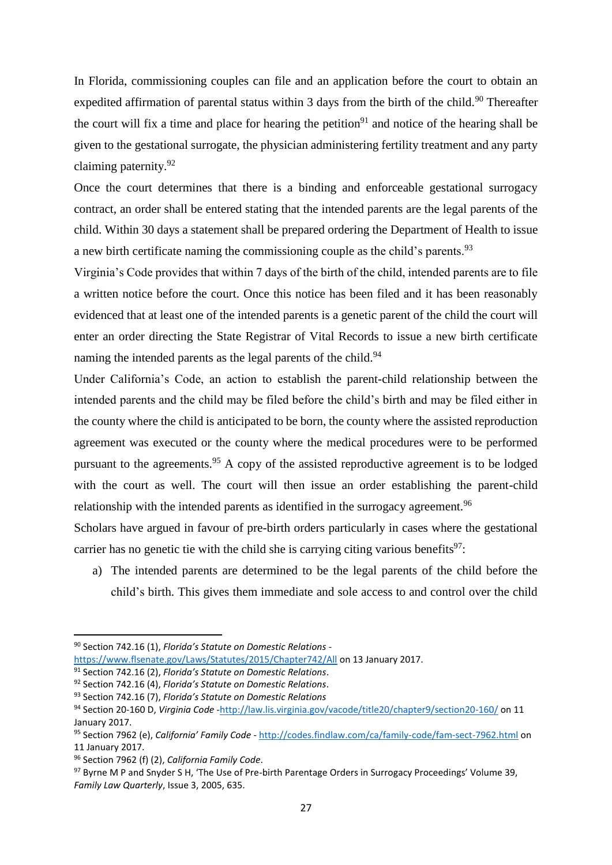In Florida, commissioning couples can file and an application before the court to obtain an expedited affirmation of parental status within 3 days from the birth of the child.<sup>90</sup> Thereafter the court will fix a time and place for hearing the petition<sup>91</sup> and notice of the hearing shall be given to the gestational surrogate, the physician administering fertility treatment and any party claiming paternity.<sup>92</sup>

Once the court determines that there is a binding and enforceable gestational surrogacy contract, an order shall be entered stating that the intended parents are the legal parents of the child. Within 30 days a statement shall be prepared ordering the Department of Health to issue a new birth certificate naming the commissioning couple as the child's parents.<sup>93</sup>

Virginia's Code provides that within 7 days of the birth of the child, intended parents are to file a written notice before the court. Once this notice has been filed and it has been reasonably evidenced that at least one of the intended parents is a genetic parent of the child the court will enter an order directing the State Registrar of Vital Records to issue a new birth certificate naming the intended parents as the legal parents of the child.<sup>94</sup>

Under California's Code, an action to establish the parent-child relationship between the intended parents and the child may be filed before the child's birth and may be filed either in the county where the child is anticipated to be born, the county where the assisted reproduction agreement was executed or the county where the medical procedures were to be performed pursuant to the agreements.<sup>95</sup> A copy of the assisted reproductive agreement is to be lodged with the court as well. The court will then issue an order establishing the parent-child relationship with the intended parents as identified in the surrogacy agreement.<sup>96</sup>

Scholars have argued in favour of pre-birth orders particularly in cases where the gestational carrier has no genetic tie with the child she is carrying citing various benefits<sup>97</sup>:

a) The intended parents are determined to be the legal parents of the child before the child's birth. This gives them immediate and sole access to and control over the child

 $\overline{a}$ 

<sup>90</sup> Section 742.16 (1), *Florida's Statute on Domestic Relations* -

<https://www.flsenate.gov/Laws/Statutes/2015/Chapter742/All> on 13 January 2017.

<sup>91</sup> Section 742.16 (2), *Florida's Statute on Domestic Relations*.

<sup>92</sup> Section 742.16 (4), *Florida's Statute on Domestic Relations*.

<sup>93</sup> Section 742.16 (7), *Florida's Statute on Domestic Relations*

<sup>94</sup> Section 20-160 D, *Virginia Code* [-http://law.lis.virginia.gov/vacode/title20/chapter9/section20-160/](http://law.lis.virginia.gov/vacode/title20/chapter9/section20-160/) on 11 January 2017.

<sup>95</sup> Section 7962 (e), *California' Family Code* - <http://codes.findlaw.com/ca/family-code/fam-sect-7962.html> on 11 January 2017.

<sup>96</sup> Section 7962 (f) (2), *California Family Code*.

<sup>97</sup> Byrne M P and Snyder S H, 'The Use of Pre-birth Parentage Orders in Surrogacy Proceedings' Volume 39, *Family Law Quarterly*, Issue 3, 2005, 635.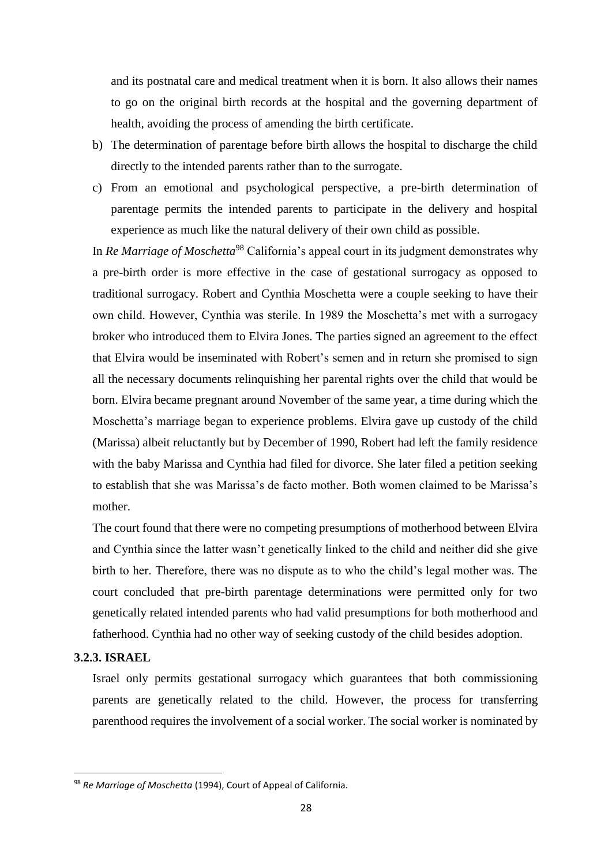and its postnatal care and medical treatment when it is born. It also allows their names to go on the original birth records at the hospital and the governing department of health, avoiding the process of amending the birth certificate.

- b) The determination of parentage before birth allows the hospital to discharge the child directly to the intended parents rather than to the surrogate.
- c) From an emotional and psychological perspective, a pre-birth determination of parentage permits the intended parents to participate in the delivery and hospital experience as much like the natural delivery of their own child as possible.

In *Re Marriage of Moschetta*<sup>98</sup> California's appeal court in its judgment demonstrates why a pre-birth order is more effective in the case of gestational surrogacy as opposed to traditional surrogacy. Robert and Cynthia Moschetta were a couple seeking to have their own child. However, Cynthia was sterile. In 1989 the Moschetta's met with a surrogacy broker who introduced them to Elvira Jones. The parties signed an agreement to the effect that Elvira would be inseminated with Robert's semen and in return she promised to sign all the necessary documents relinquishing her parental rights over the child that would be born. Elvira became pregnant around November of the same year, a time during which the Moschetta's marriage began to experience problems. Elvira gave up custody of the child (Marissa) albeit reluctantly but by December of 1990, Robert had left the family residence with the baby Marissa and Cynthia had filed for divorce. She later filed a petition seeking to establish that she was Marissa's de facto mother. Both women claimed to be Marissa's mother.

The court found that there were no competing presumptions of motherhood between Elvira and Cynthia since the latter wasn't genetically linked to the child and neither did she give birth to her. Therefore, there was no dispute as to who the child's legal mother was. The court concluded that pre-birth parentage determinations were permitted only for two genetically related intended parents who had valid presumptions for both motherhood and fatherhood. Cynthia had no other way of seeking custody of the child besides adoption.

#### <span id="page-34-0"></span>**3.2.3. ISRAEL**

**.** 

Israel only permits gestational surrogacy which guarantees that both commissioning parents are genetically related to the child. However, the process for transferring parenthood requires the involvement of a social worker. The social worker is nominated by

<sup>98</sup> *Re Marriage of Moschetta* (1994), Court of Appeal of California.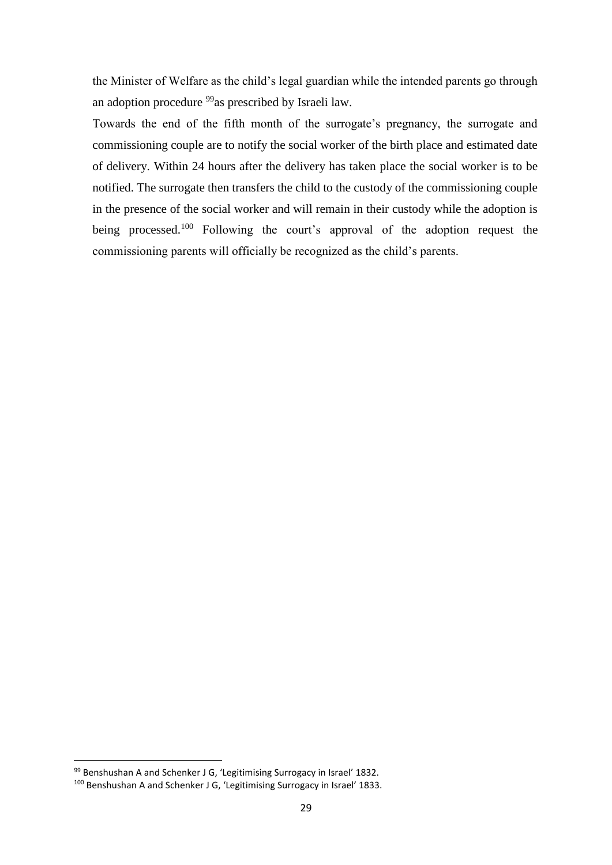the Minister of Welfare as the child's legal guardian while the intended parents go through an adoption procedure <sup>99</sup>as prescribed by Israeli law.

Towards the end of the fifth month of the surrogate's pregnancy, the surrogate and commissioning couple are to notify the social worker of the birth place and estimated date of delivery. Within 24 hours after the delivery has taken place the social worker is to be notified. The surrogate then transfers the child to the custody of the commissioning couple in the presence of the social worker and will remain in their custody while the adoption is being processed.<sup>100</sup> Following the court's approval of the adoption request the commissioning parents will officially be recognized as the child's parents.

<sup>99</sup> Benshushan A and Schenker J G, 'Legitimising Surrogacy in Israel' 1832.

<sup>100</sup> Benshushan A and Schenker J G, 'Legitimising Surrogacy in Israel' 1833.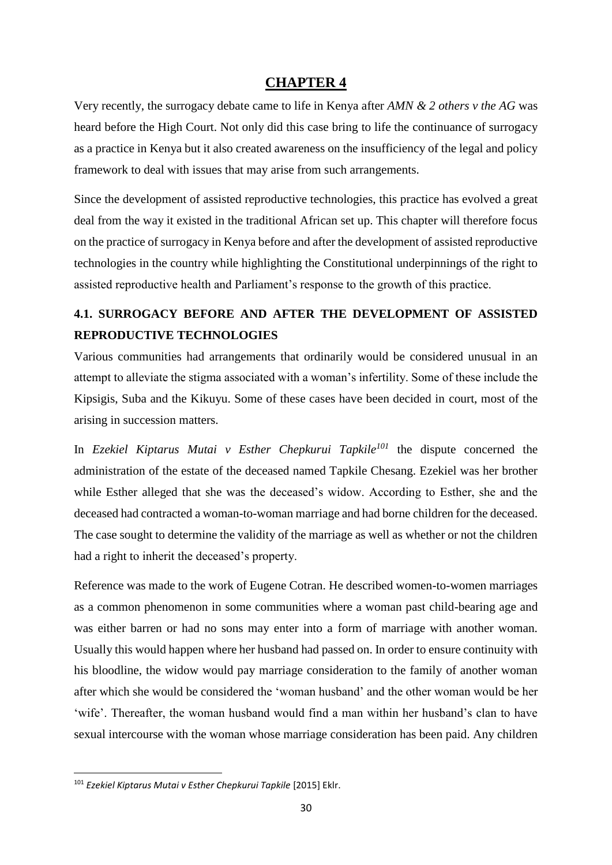## **CHAPTER 4**

<span id="page-36-0"></span>Very recently, the surrogacy debate came to life in Kenya after *AMN & 2 others v the AG* was heard before the High Court. Not only did this case bring to life the continuance of surrogacy as a practice in Kenya but it also created awareness on the insufficiency of the legal and policy framework to deal with issues that may arise from such arrangements.

Since the development of assisted reproductive technologies, this practice has evolved a great deal from the way it existed in the traditional African set up. This chapter will therefore focus on the practice of surrogacy in Kenya before and after the development of assisted reproductive technologies in the country while highlighting the Constitutional underpinnings of the right to assisted reproductive health and Parliament's response to the growth of this practice.

# <span id="page-36-1"></span>**4.1. SURROGACY BEFORE AND AFTER THE DEVELOPMENT OF ASSISTED REPRODUCTIVE TECHNOLOGIES**

Various communities had arrangements that ordinarily would be considered unusual in an attempt to alleviate the stigma associated with a woman's infertility. Some of these include the Kipsigis, Suba and the Kikuyu. Some of these cases have been decided in court, most of the arising in succession matters.

In *Ezekiel Kiptarus Mutai v Esther Chepkurui Tapkile<sup>101</sup>* the dispute concerned the administration of the estate of the deceased named Tapkile Chesang. Ezekiel was her brother while Esther alleged that she was the deceased's widow. According to Esther, she and the deceased had contracted a woman-to-woman marriage and had borne children for the deceased. The case sought to determine the validity of the marriage as well as whether or not the children had a right to inherit the deceased's property.

Reference was made to the work of Eugene Cotran. He described women-to-women marriages as a common phenomenon in some communities where a woman past child-bearing age and was either barren or had no sons may enter into a form of marriage with another woman. Usually this would happen where her husband had passed on. In order to ensure continuity with his bloodline, the widow would pay marriage consideration to the family of another woman after which she would be considered the 'woman husband' and the other woman would be her 'wife'. Thereafter, the woman husband would find a man within her husband's clan to have sexual intercourse with the woman whose marriage consideration has been paid. Any children

**.** 

<sup>101</sup> *Ezekiel Kiptarus Mutai v Esther Chepkurui Tapkile* [2015] Eklr.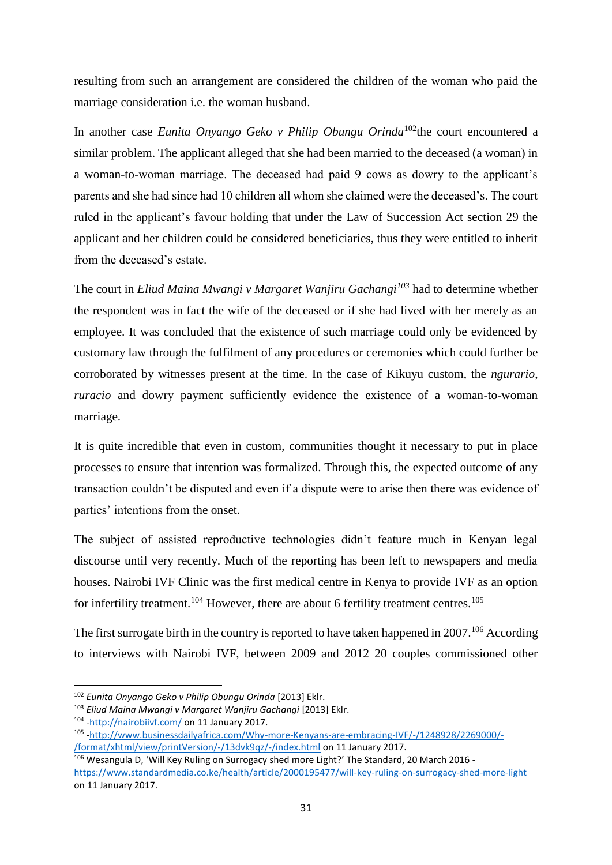resulting from such an arrangement are considered the children of the woman who paid the marriage consideration i.e. the woman husband.

In another case *Eunita Onyango Geko v Philip Obungu Orinda*<sup>102</sup>the court encountered a similar problem. The applicant alleged that she had been married to the deceased (a woman) in a woman-to-woman marriage. The deceased had paid 9 cows as dowry to the applicant's parents and she had since had 10 children all whom she claimed were the deceased's. The court ruled in the applicant's favour holding that under the Law of Succession Act section 29 the applicant and her children could be considered beneficiaries, thus they were entitled to inherit from the deceased's estate.

The court in *Eliud Maina Mwangi v Margaret Wanjiru Gachangi<sup>103</sup>* had to determine whether the respondent was in fact the wife of the deceased or if she had lived with her merely as an employee. It was concluded that the existence of such marriage could only be evidenced by customary law through the fulfilment of any procedures or ceremonies which could further be corroborated by witnesses present at the time. In the case of Kikuyu custom, the *ngurario*, *ruracio* and dowry payment sufficiently evidence the existence of a woman-to-woman marriage.

It is quite incredible that even in custom, communities thought it necessary to put in place processes to ensure that intention was formalized. Through this, the expected outcome of any transaction couldn't be disputed and even if a dispute were to arise then there was evidence of parties' intentions from the onset.

The subject of assisted reproductive technologies didn't feature much in Kenyan legal discourse until very recently. Much of the reporting has been left to newspapers and media houses. Nairobi IVF Clinic was the first medical centre in Kenya to provide IVF as an option for infertility treatment.<sup>104</sup> However, there are about 6 fertility treatment centres.<sup>105</sup>

The first surrogate birth in the country is reported to have taken happened in  $2007$ .<sup>106</sup> According to interviews with Nairobi IVF, between 2009 and 2012 20 couples commissioned other

**.** 

<sup>102</sup> *Eunita Onyango Geko v Philip Obungu Orinda* [2013] Eklr.

<sup>103</sup> *Eliud Maina Mwangi v Margaret Wanjiru Gachangi* [2013] Eklr.

<sup>&</sup>lt;sup>104</sup> [-http://nairobiivf.com/](http://nairobiivf.com/) on 11 January 2017.

<sup>105</sup> [-http://www.businessdailyafrica.com/Why-more-Kenyans-are-embracing-IVF/-/1248928/2269000/-](http://www.businessdailyafrica.com/Why-more-Kenyans-are-embracing-IVF/-/1248928/2269000/-/format/xhtml/view/printVersion/-/13dvk9qz/-/index.html) [/format/xhtml/view/printVersion/-/13dvk9qz/-/index.html](http://www.businessdailyafrica.com/Why-more-Kenyans-are-embracing-IVF/-/1248928/2269000/-/format/xhtml/view/printVersion/-/13dvk9qz/-/index.html) on 11 January 2017.

<sup>106</sup> Wesangula D, 'Will Key Ruling on Surrogacy shed more Light?' The Standard, 20 March 2016 <https://www.standardmedia.co.ke/health/article/2000195477/will-key-ruling-on-surrogacy-shed-more-light> on 11 January 2017.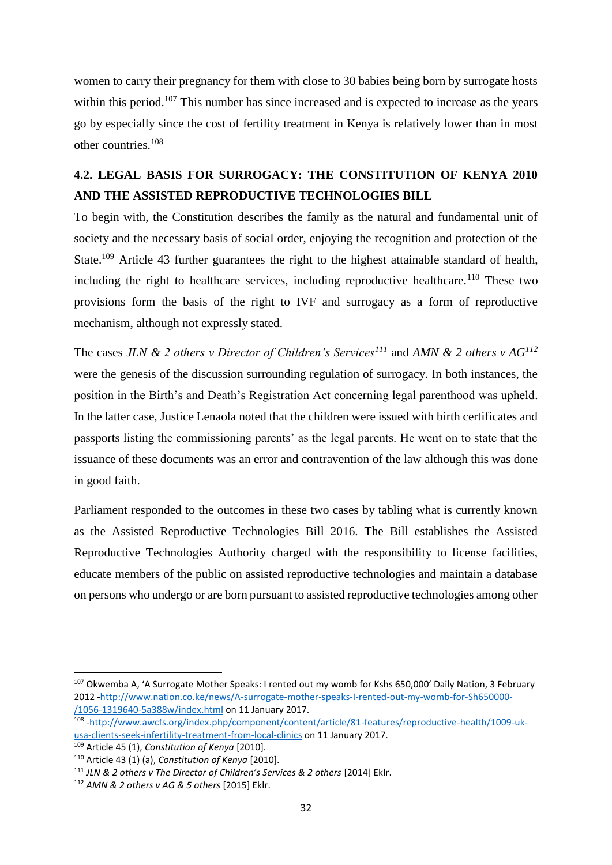women to carry their pregnancy for them with close to 30 babies being born by surrogate hosts within this period.<sup>107</sup> This number has since increased and is expected to increase as the years go by especially since the cost of fertility treatment in Kenya is relatively lower than in most other countries.<sup>108</sup>

# <span id="page-38-0"></span>**4.2. LEGAL BASIS FOR SURROGACY: THE CONSTITUTION OF KENYA 2010 AND THE ASSISTED REPRODUCTIVE TECHNOLOGIES BILL**

To begin with, the Constitution describes the family as the natural and fundamental unit of society and the necessary basis of social order, enjoying the recognition and protection of the State.<sup>109</sup> Article 43 further guarantees the right to the highest attainable standard of health, including the right to healthcare services, including reproductive healthcare.<sup>110</sup> These two provisions form the basis of the right to IVF and surrogacy as a form of reproductive mechanism, although not expressly stated.

The cases *JLN & 2 others v Director of Children's Services<sup>111</sup>* and *AMN & 2 others v AG<sup>112</sup>* were the genesis of the discussion surrounding regulation of surrogacy. In both instances, the position in the Birth's and Death's Registration Act concerning legal parenthood was upheld. In the latter case, Justice Lenaola noted that the children were issued with birth certificates and passports listing the commissioning parents' as the legal parents. He went on to state that the issuance of these documents was an error and contravention of the law although this was done in good faith.

Parliament responded to the outcomes in these two cases by tabling what is currently known as the Assisted Reproductive Technologies Bill 2016. The Bill establishes the Assisted Reproductive Technologies Authority charged with the responsibility to license facilities, educate members of the public on assisted reproductive technologies and maintain a database on persons who undergo or are born pursuant to assisted reproductive technologies among other

<sup>107</sup> Okwemba A, 'A Surrogate Mother Speaks: I rented out my womb for Kshs 650,000' Daily Nation, 3 February 2012 [-http://www.nation.co.ke/news/A-surrogate-mother-speaks-I-rented-out-my-womb-for-Sh650000-](http://www.nation.co.ke/news/A-surrogate-mother-speaks-I-rented-out-my-womb-for-Sh650000-/1056-1319640-5a388w/index.html) [/1056-1319640-5a388w/index.html](http://www.nation.co.ke/news/A-surrogate-mother-speaks-I-rented-out-my-womb-for-Sh650000-/1056-1319640-5a388w/index.html) on 11 January 2017.

<sup>108</sup> [-http://www.awcfs.org/index.php/component/content/article/81-features/reproductive-health/1009-uk](http://www.awcfs.org/index.php/component/content/article/81-features/reproductive-health/1009-uk-usa-clients-seek-infertility-treatment-from-local-clinics)[usa-clients-seek-infertility-treatment-from-local-clinics](http://www.awcfs.org/index.php/component/content/article/81-features/reproductive-health/1009-uk-usa-clients-seek-infertility-treatment-from-local-clinics) on 11 January 2017.

<sup>109</sup> Article 45 (1), *Constitution of Kenya* [2010].

<sup>110</sup> Article 43 (1) (a), *Constitution of Kenya* [2010].

<sup>111</sup> *JLN & 2 others v The Director of Children's Services & 2 others* [2014] Eklr.

<sup>112</sup> *AMN & 2 others v AG & 5 others* [2015] Eklr.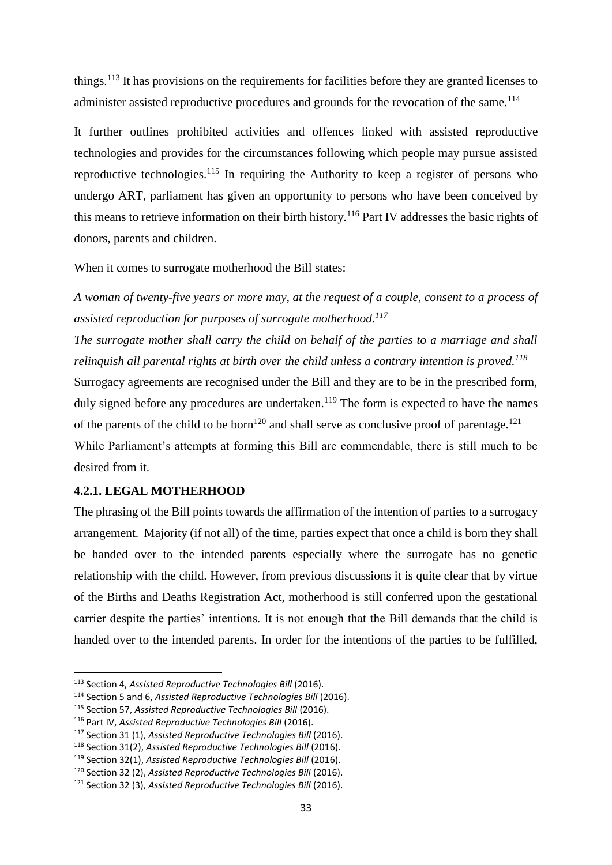things.<sup>113</sup> It has provisions on the requirements for facilities before they are granted licenses to administer assisted reproductive procedures and grounds for the revocation of the same.<sup>114</sup>

It further outlines prohibited activities and offences linked with assisted reproductive technologies and provides for the circumstances following which people may pursue assisted reproductive technologies.<sup>115</sup> In requiring the Authority to keep a register of persons who undergo ART, parliament has given an opportunity to persons who have been conceived by this means to retrieve information on their birth history.<sup>116</sup> Part IV addresses the basic rights of donors, parents and children.

When it comes to surrogate motherhood the Bill states:

*A woman of twenty-five years or more may, at the request of a couple, consent to a process of assisted reproduction for purposes of surrogate motherhood.<sup>117</sup>*

*The surrogate mother shall carry the child on behalf of the parties to a marriage and shall relinquish all parental rights at birth over the child unless a contrary intention is proved.<sup>118</sup>*

Surrogacy agreements are recognised under the Bill and they are to be in the prescribed form, duly signed before any procedures are undertaken.<sup>119</sup> The form is expected to have the names of the parents of the child to be born<sup>120</sup> and shall serve as conclusive proof of parentage.<sup>121</sup> While Parliament's attempts at forming this Bill are commendable, there is still much to be

desired from it.

1

#### <span id="page-39-0"></span>**4.2.1. LEGAL MOTHERHOOD**

The phrasing of the Bill points towards the affirmation of the intention of parties to a surrogacy arrangement. Majority (if not all) of the time, parties expect that once a child is born they shall be handed over to the intended parents especially where the surrogate has no genetic relationship with the child. However, from previous discussions it is quite clear that by virtue of the Births and Deaths Registration Act, motherhood is still conferred upon the gestational carrier despite the parties' intentions. It is not enough that the Bill demands that the child is handed over to the intended parents. In order for the intentions of the parties to be fulfilled,

<sup>113</sup> Section 4, *Assisted Reproductive Technologies Bill* (2016).

<sup>114</sup> Section 5 and 6, *Assisted Reproductive Technologies Bill* (2016).

<sup>115</sup> Section 57, *Assisted Reproductive Technologies Bill* (2016).

<sup>116</sup> Part IV, *Assisted Reproductive Technologies Bill* (2016).

<sup>117</sup> Section 31 (1), *Assisted Reproductive Technologies Bill* (2016).

<sup>118</sup> Section 31(2), *Assisted Reproductive Technologies Bill* (2016).

<sup>119</sup> Section 32(1), *Assisted Reproductive Technologies Bill* (2016).

<sup>120</sup> Section 32 (2), *Assisted Reproductive Technologies Bill* (2016).

<sup>121</sup> Section 32 (3), *Assisted Reproductive Technologies Bill* (2016).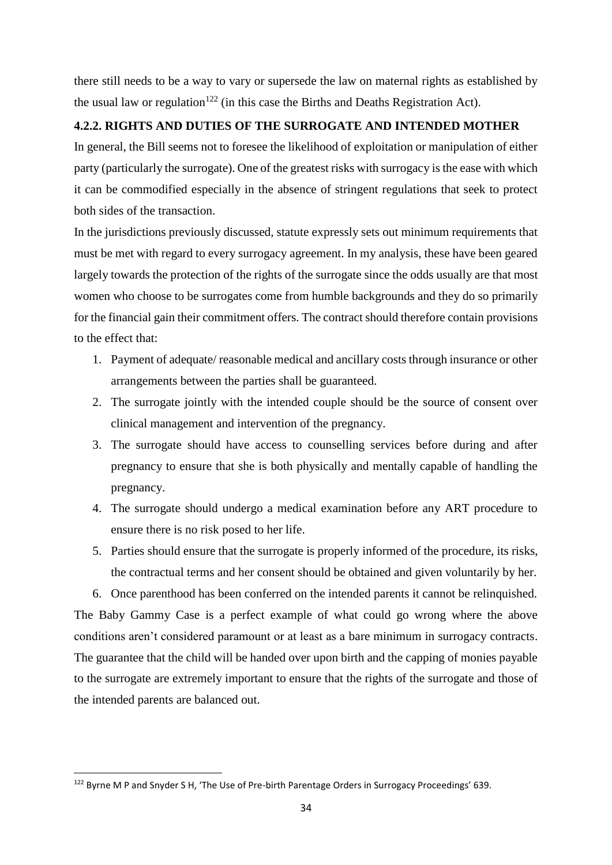there still needs to be a way to vary or supersede the law on maternal rights as established by the usual law or regulation<sup>122</sup> (in this case the Births and Deaths Registration Act).

### <span id="page-40-0"></span>**4.2.2. RIGHTS AND DUTIES OF THE SURROGATE AND INTENDED MOTHER**

In general, the Bill seems not to foresee the likelihood of exploitation or manipulation of either party (particularly the surrogate). One of the greatest risks with surrogacy is the ease with which it can be commodified especially in the absence of stringent regulations that seek to protect both sides of the transaction.

In the jurisdictions previously discussed, statute expressly sets out minimum requirements that must be met with regard to every surrogacy agreement. In my analysis, these have been geared largely towards the protection of the rights of the surrogate since the odds usually are that most women who choose to be surrogates come from humble backgrounds and they do so primarily for the financial gain their commitment offers. The contract should therefore contain provisions to the effect that:

- 1. Payment of adequate/ reasonable medical and ancillary costs through insurance or other arrangements between the parties shall be guaranteed.
- 2. The surrogate jointly with the intended couple should be the source of consent over clinical management and intervention of the pregnancy.
- 3. The surrogate should have access to counselling services before during and after pregnancy to ensure that she is both physically and mentally capable of handling the pregnancy.
- 4. The surrogate should undergo a medical examination before any ART procedure to ensure there is no risk posed to her life.
- 5. Parties should ensure that the surrogate is properly informed of the procedure, its risks, the contractual terms and her consent should be obtained and given voluntarily by her.

6. Once parenthood has been conferred on the intended parents it cannot be relinquished. The Baby Gammy Case is a perfect example of what could go wrong where the above conditions aren't considered paramount or at least as a bare minimum in surrogacy contracts. The guarantee that the child will be handed over upon birth and the capping of monies payable to the surrogate are extremely important to ensure that the rights of the surrogate and those of the intended parents are balanced out.

**.** 

<sup>122</sup> Byrne M P and Snyder S H, 'The Use of Pre-birth Parentage Orders in Surrogacy Proceedings' 639.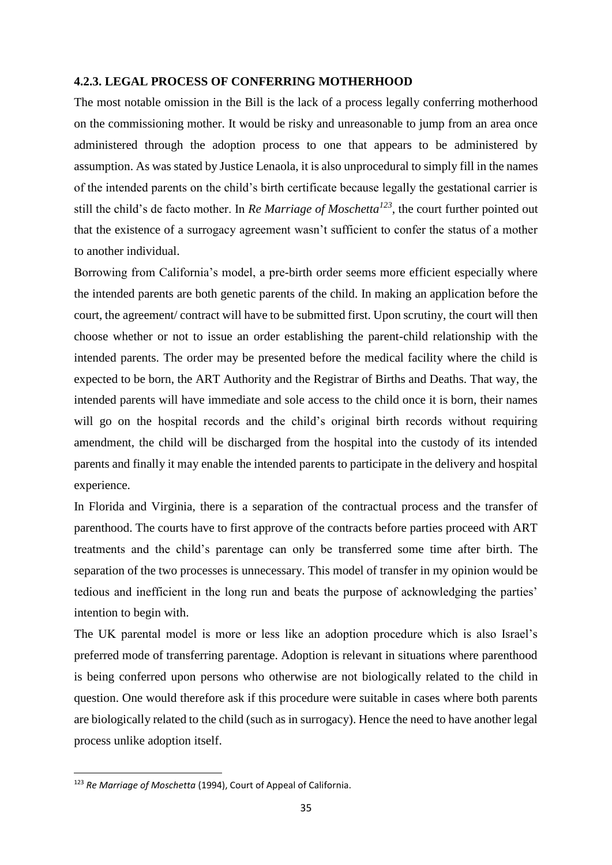#### <span id="page-41-0"></span>**4.2.3. LEGAL PROCESS OF CONFERRING MOTHERHOOD**

The most notable omission in the Bill is the lack of a process legally conferring motherhood on the commissioning mother. It would be risky and unreasonable to jump from an area once administered through the adoption process to one that appears to be administered by assumption. As was stated by Justice Lenaola, it is also unprocedural to simply fill in the names of the intended parents on the child's birth certificate because legally the gestational carrier is still the child's de facto mother. In *Re Marriage of Moschetta<sup>123</sup>*, the court further pointed out that the existence of a surrogacy agreement wasn't sufficient to confer the status of a mother to another individual.

Borrowing from California's model, a pre-birth order seems more efficient especially where the intended parents are both genetic parents of the child. In making an application before the court, the agreement/ contract will have to be submitted first. Upon scrutiny, the court will then choose whether or not to issue an order establishing the parent-child relationship with the intended parents. The order may be presented before the medical facility where the child is expected to be born, the ART Authority and the Registrar of Births and Deaths. That way, the intended parents will have immediate and sole access to the child once it is born, their names will go on the hospital records and the child's original birth records without requiring amendment, the child will be discharged from the hospital into the custody of its intended parents and finally it may enable the intended parents to participate in the delivery and hospital experience.

In Florida and Virginia, there is a separation of the contractual process and the transfer of parenthood. The courts have to first approve of the contracts before parties proceed with ART treatments and the child's parentage can only be transferred some time after birth. The separation of the two processes is unnecessary. This model of transfer in my opinion would be tedious and inefficient in the long run and beats the purpose of acknowledging the parties' intention to begin with.

The UK parental model is more or less like an adoption procedure which is also Israel's preferred mode of transferring parentage. Adoption is relevant in situations where parenthood is being conferred upon persons who otherwise are not biologically related to the child in question. One would therefore ask if this procedure were suitable in cases where both parents are biologically related to the child (such as in surrogacy). Hence the need to have another legal process unlike adoption itself.

**.** 

<sup>123</sup> *Re Marriage of Moschetta* (1994), Court of Appeal of California.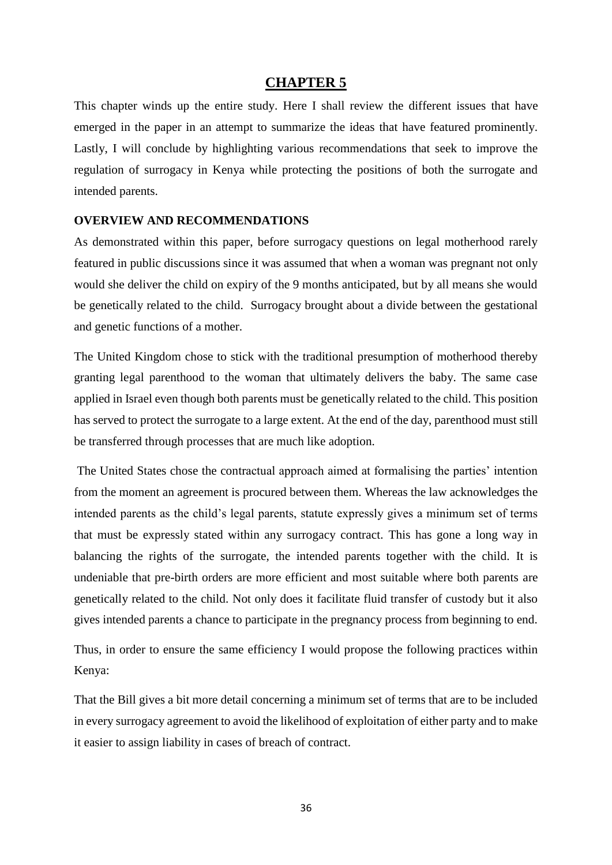## **CHAPTER 5**

<span id="page-42-0"></span>This chapter winds up the entire study. Here I shall review the different issues that have emerged in the paper in an attempt to summarize the ideas that have featured prominently. Lastly, I will conclude by highlighting various recommendations that seek to improve the regulation of surrogacy in Kenya while protecting the positions of both the surrogate and intended parents.

#### <span id="page-42-1"></span>**OVERVIEW AND RECOMMENDATIONS**

As demonstrated within this paper, before surrogacy questions on legal motherhood rarely featured in public discussions since it was assumed that when a woman was pregnant not only would she deliver the child on expiry of the 9 months anticipated, but by all means she would be genetically related to the child. Surrogacy brought about a divide between the gestational and genetic functions of a mother.

The United Kingdom chose to stick with the traditional presumption of motherhood thereby granting legal parenthood to the woman that ultimately delivers the baby. The same case applied in Israel even though both parents must be genetically related to the child. This position has served to protect the surrogate to a large extent. At the end of the day, parenthood must still be transferred through processes that are much like adoption.

The United States chose the contractual approach aimed at formalising the parties' intention from the moment an agreement is procured between them. Whereas the law acknowledges the intended parents as the child's legal parents, statute expressly gives a minimum set of terms that must be expressly stated within any surrogacy contract. This has gone a long way in balancing the rights of the surrogate, the intended parents together with the child. It is undeniable that pre-birth orders are more efficient and most suitable where both parents are genetically related to the child. Not only does it facilitate fluid transfer of custody but it also gives intended parents a chance to participate in the pregnancy process from beginning to end.

Thus, in order to ensure the same efficiency I would propose the following practices within Kenya:

That the Bill gives a bit more detail concerning a minimum set of terms that are to be included in every surrogacy agreement to avoid the likelihood of exploitation of either party and to make it easier to assign liability in cases of breach of contract.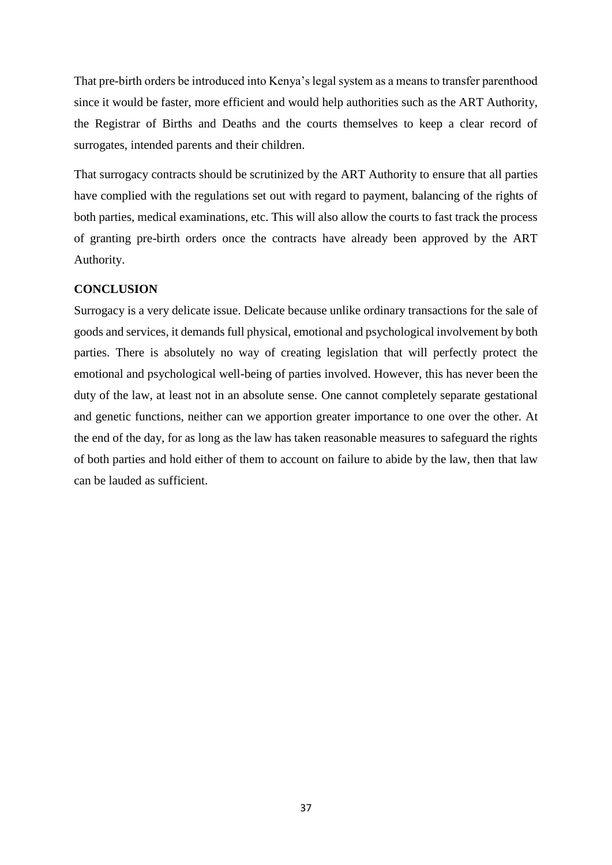That pre-birth orders be introduced into Kenya's legal system as a means to transfer parenthood since it would be faster, more efficient and would help authorities such as the ART Authority, the Registrar of Births and Deaths and the courts themselves to keep a clear record of surrogates, intended parents and their children.

That surrogacy contracts should be scrutinized by the ART Authority to ensure that all parties have complied with the regulations set out with regard to payment, balancing of the rights of both parties, medical examinations, etc. This will also allow the courts to fast track the process of granting pre-birth orders once the contracts have already been approved by the ART Authority.

#### <span id="page-43-0"></span>**CONCLUSION**

Surrogacy is a very delicate issue. Delicate because unlike ordinary transactions for the sale of goods and services, it demands full physical, emotional and psychological involvement by both parties. There is absolutely no way of creating legislation that will perfectly protect the emotional and psychological well-being of parties involved. However, this has never been the duty of the law, at least not in an absolute sense. One cannot completely separate gestational and genetic functions, neither can we apportion greater importance to one over the other. At the end of the day, for as long as the law has taken reasonable measures to safeguard the rights of both parties and hold either of them to account on failure to abide by the law, then that law can be lauded as sufficient.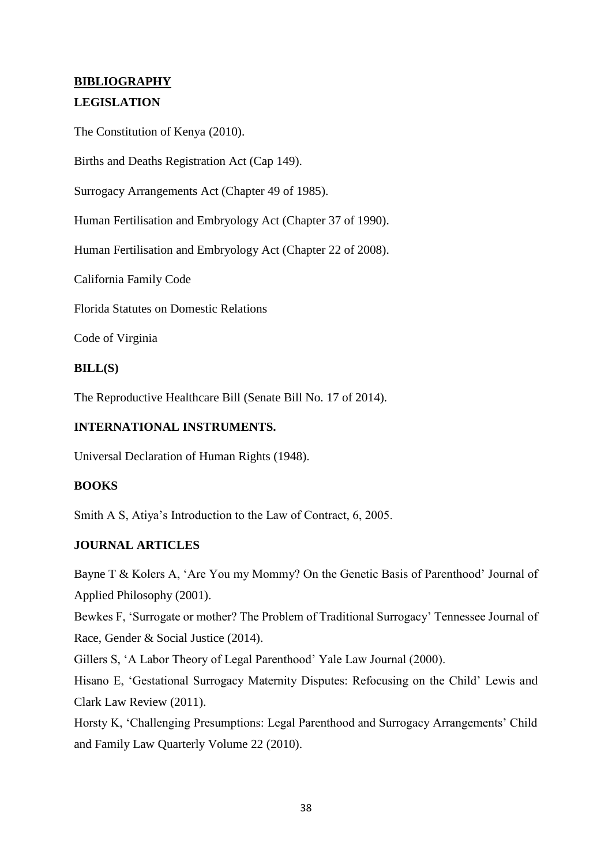# <span id="page-44-0"></span>**BIBLIOGRAPHY**

### **LEGISLATION**

The Constitution of Kenya (2010).

Births and Deaths Registration Act (Cap 149).

Surrogacy Arrangements Act (Chapter 49 of 1985).

Human Fertilisation and Embryology Act (Chapter 37 of 1990).

Human Fertilisation and Embryology Act (Chapter 22 of 2008).

California Family Code

Florida Statutes on Domestic Relations

Code of Virginia

#### **BILL(S)**

The Reproductive Healthcare Bill (Senate Bill No. 17 of 2014).

#### **INTERNATIONAL INSTRUMENTS.**

Universal Declaration of Human Rights (1948).

#### **BOOKS**

Smith A S, Atiya's Introduction to the Law of Contract, 6, 2005.

#### **JOURNAL ARTICLES**

Bayne T & Kolers A, 'Are You my Mommy? On the Genetic Basis of Parenthood' Journal of Applied Philosophy (2001).

Bewkes F, 'Surrogate or mother? The Problem of Traditional Surrogacy' Tennessee Journal of Race, Gender & Social Justice (2014).

Gillers S, 'A Labor Theory of Legal Parenthood' Yale Law Journal (2000).

Hisano E, 'Gestational Surrogacy Maternity Disputes: Refocusing on the Child' Lewis and Clark Law Review (2011).

Horsty K, 'Challenging Presumptions: Legal Parenthood and Surrogacy Arrangements' Child and Family Law Quarterly Volume 22 (2010).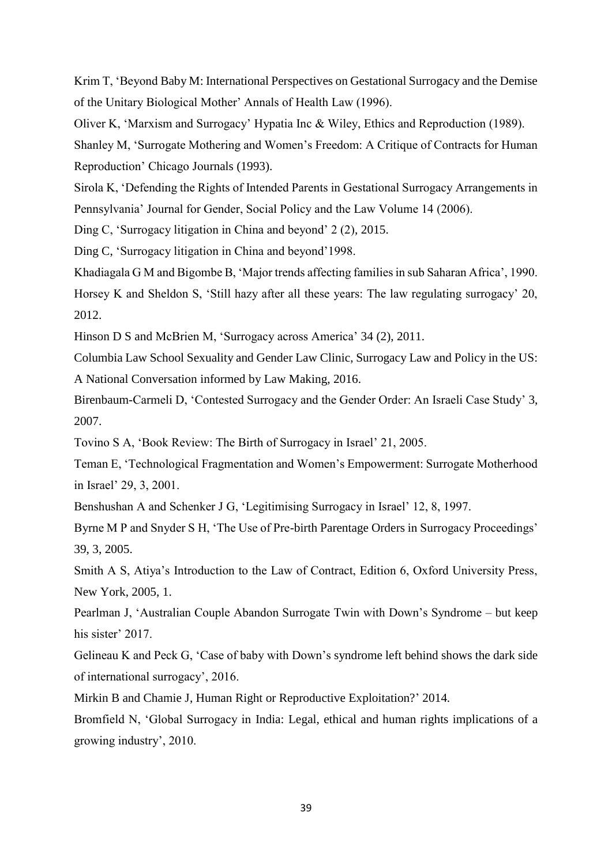Krim T, 'Beyond Baby M: International Perspectives on Gestational Surrogacy and the Demise of the Unitary Biological Mother' Annals of Health Law (1996).

Oliver K, 'Marxism and Surrogacy' Hypatia Inc & Wiley, Ethics and Reproduction (1989).

Shanley M, 'Surrogate Mothering and Women's Freedom: A Critique of Contracts for Human Reproduction' Chicago Journals (1993).

Sirola K, 'Defending the Rights of Intended Parents in Gestational Surrogacy Arrangements in Pennsylvania' Journal for Gender, Social Policy and the Law Volume 14 (2006).

Ding C, 'Surrogacy litigation in China and beyond' 2 (2), 2015.

Ding C, 'Surrogacy litigation in China and beyond'1998.

Khadiagala G M and Bigombe B, 'Major trends affecting families in sub Saharan Africa', 1990.

Horsey K and Sheldon S, 'Still hazy after all these years: The law regulating surrogacy' 20, 2012.

Hinson D S and McBrien M, 'Surrogacy across America' 34 (2), 2011.

Columbia Law School Sexuality and Gender Law Clinic, Surrogacy Law and Policy in the US: A National Conversation informed by Law Making, 2016.

Birenbaum-Carmeli D, 'Contested Surrogacy and the Gender Order: An Israeli Case Study' 3, 2007.

Tovino S A, 'Book Review: The Birth of Surrogacy in Israel' 21, 2005.

Teman E, 'Technological Fragmentation and Women's Empowerment: Surrogate Motherhood in Israel' 29, 3, 2001.

Benshushan A and Schenker J G, 'Legitimising Surrogacy in Israel' 12, 8, 1997.

Byrne M P and Snyder S H, 'The Use of Pre-birth Parentage Orders in Surrogacy Proceedings' 39, 3, 2005.

Smith A S, Atiya's Introduction to the Law of Contract, Edition 6, Oxford University Press, New York, 2005, 1.

Pearlman J, 'Australian Couple Abandon Surrogate Twin with Down's Syndrome – but keep his sister' 2017.

Gelineau K and Peck G, 'Case of baby with Down's syndrome left behind shows the dark side of international surrogacy', 2016.

Mirkin B and Chamie J, Human Right or Reproductive Exploitation?' 2014.

Bromfield N, 'Global Surrogacy in India: Legal, ethical and human rights implications of a growing industry', 2010.